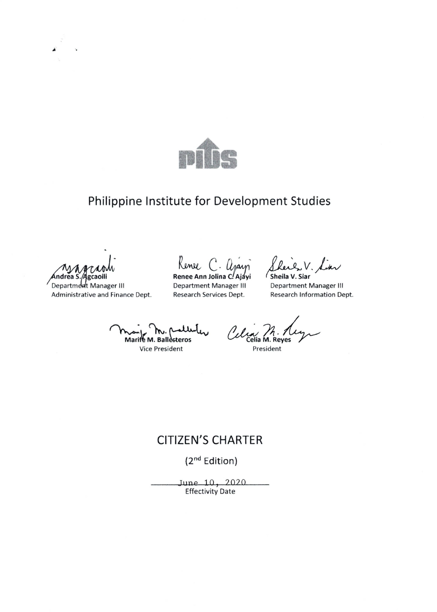

## Philippine Institute for Development Studies

Andrea S. Agcaoili

Department Manager III Administrative and Finance Dept.

Renee C. Ajayi

**Department Manager III** Research Services Dept.

V. Liar Sheila V. Siar

**Department Manager III** Research Information Dept.

Marife M. Ballesteros

Vice President

Celia M. Reyes

President

#### **CITIZEN'S CHARTER**

(2<sup>nd</sup> Edition)

June 10, 2020 **Effectivity Date**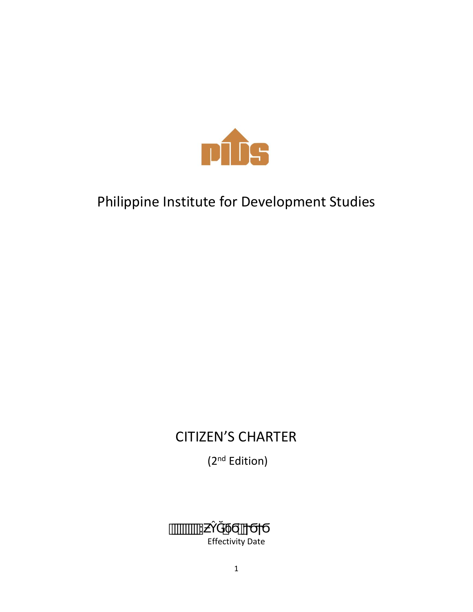

# Philippine Institute for Development Studies

# CITIZEN'S CHARTER

(2<sup>nd</sup> Edition)

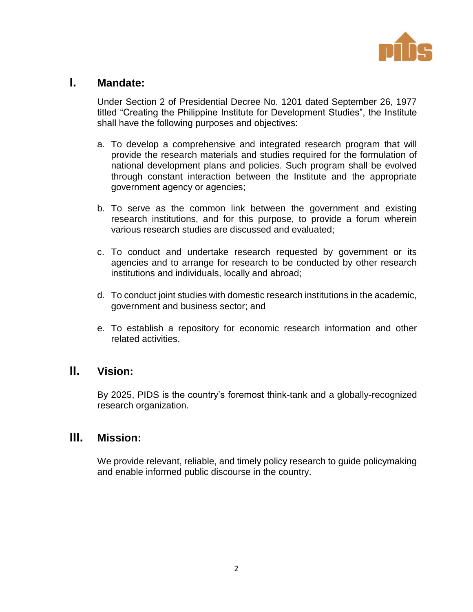

#### **I. Mandate:**

Under Section 2 of Presidential Decree No. 1201 dated September 26, 1977 titled "Creating the Philippine Institute for Development Studies", the Institute shall have the following purposes and objectives:

- a. To develop a comprehensive and integrated research program that will provide the research materials and studies required for the formulation of national development plans and policies. Such program shall be evolved through constant interaction between the Institute and the appropriate government agency or agencies;
- b. To serve as the common link between the government and existing research institutions, and for this purpose, to provide a forum wherein various research studies are discussed and evaluated;
- c. To conduct and undertake research requested by government or its agencies and to arrange for research to be conducted by other research institutions and individuals, locally and abroad;
- d. To conduct joint studies with domestic research institutions in the academic, government and business sector; and
- e. To establish a repository for economic research information and other related activities.

#### **II. Vision:**

By 2025, PIDS is the country's foremost think-tank and a globally-recognized research organization.

#### **III. Mission:**

We provide relevant, reliable, and timely policy research to guide policymaking and enable informed public discourse in the country.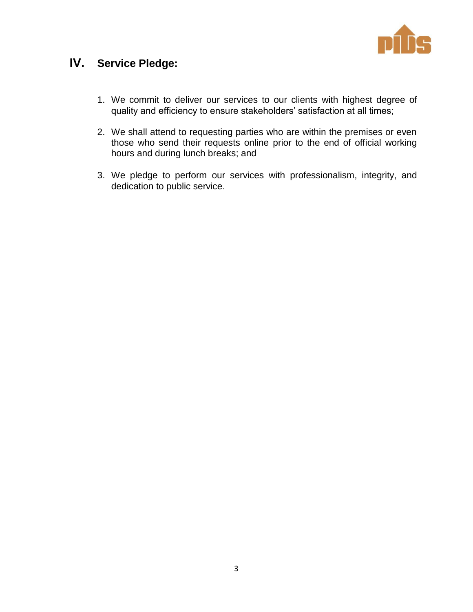

## **IV. Service Pledge:**

- 1. We commit to deliver our services to our clients with highest degree of quality and efficiency to ensure stakeholders' satisfaction at all times;
- 2. We shall attend to requesting parties who are within the premises or even those who send their requests online prior to the end of official working hours and during lunch breaks; and
- 3. We pledge to perform our services with professionalism, integrity, and dedication to public service.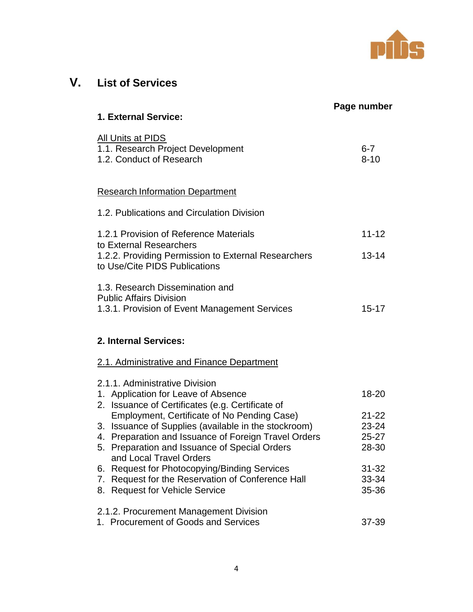

## **V. List of Services**

|                                                                                                                           | Page number         |
|---------------------------------------------------------------------------------------------------------------------------|---------------------|
| 1. External Service:                                                                                                      |                     |
| <b>All Units at PIDS</b><br>1.1. Research Project Development<br>1.2. Conduct of Research                                 | $6 - 7$<br>$8 - 10$ |
| <b>Research Information Department</b>                                                                                    |                     |
| 1.2. Publications and Circulation Division                                                                                |                     |
| 1.2.1 Provision of Reference Materials<br>to External Researchers                                                         | $11 - 12$           |
| 1.2.2. Providing Permission to External Researchers<br>to Use/Cite PIDS Publications                                      | $13 - 14$           |
| 1.3. Research Dissemination and<br><b>Public Affairs Division</b><br>1.3.1. Provision of Event Management Services        | $15 - 17$           |
| 2. Internal Services:<br>2.1. Administrative and Finance Department                                                       |                     |
| 2.1.1. Administrative Division<br>1. Application for Leave of Absence<br>2. Issuance of Certificates (e.g. Certificate of | 18-20               |
| Employment, Certificate of No Pending Case)                                                                               | $21 - 22$           |
| 3. Issuance of Supplies (available in the stockroom)                                                                      | 23-24               |
| 4. Preparation and Issuance of Foreign Travel Orders                                                                      | $25 - 27$           |
| 5. Preparation and Issuance of Special Orders<br>and Local Travel Orders                                                  | 28-30               |
| <b>Request for Photocopying/Binding Services</b><br>6.                                                                    | $31 - 32$           |
| Request for the Reservation of Conference Hall<br>7.                                                                      | 33-34               |
| 8. Request for Vehicle Service                                                                                            | 35-36               |
| 2.1.2. Procurement Management Division                                                                                    |                     |
| 1. Procurement of Goods and Services                                                                                      | 37-39               |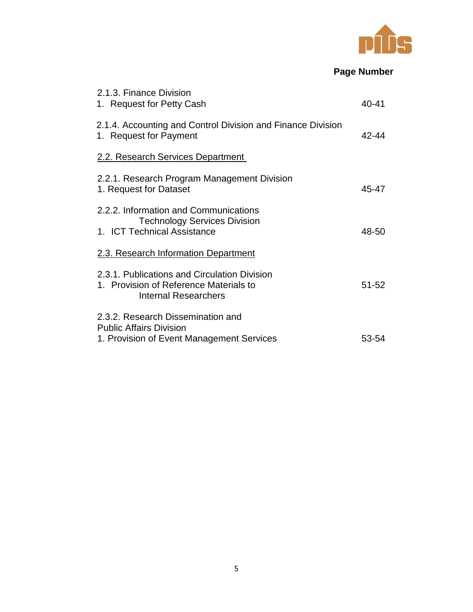

### **Page Number**

| 2.1.3. Finance Division<br>1. Request for Petty Cash                                                                  | 40-41     |
|-----------------------------------------------------------------------------------------------------------------------|-----------|
| 2.1.4. Accounting and Control Division and Finance Division<br>1. Request for Payment                                 | 42-44     |
| 2.2. Research Services Department                                                                                     |           |
| 2.2.1. Research Program Management Division<br>1. Request for Dataset                                                 | 45-47     |
| 2.2.2. Information and Communications<br><b>Technology Services Division</b><br>1. ICT Technical Assistance           | 48-50     |
| 2.3. Research Information Department                                                                                  |           |
| 2.3.1. Publications and Circulation Division<br>1. Provision of Reference Materials to<br><b>Internal Researchers</b> | $51 - 52$ |
| 2.3.2. Research Dissemination and<br><b>Public Affairs Division</b><br>1. Provision of Event Management Services      | 53-54     |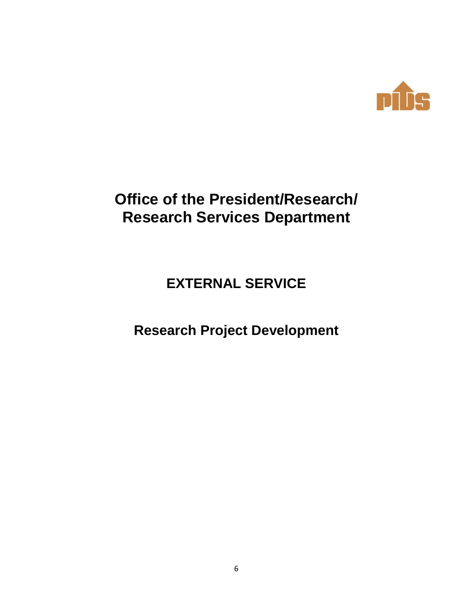

# **Office of the President/Research/ Research Services Department**

## **EXTERNAL SERVICE**

## **Research Project Development**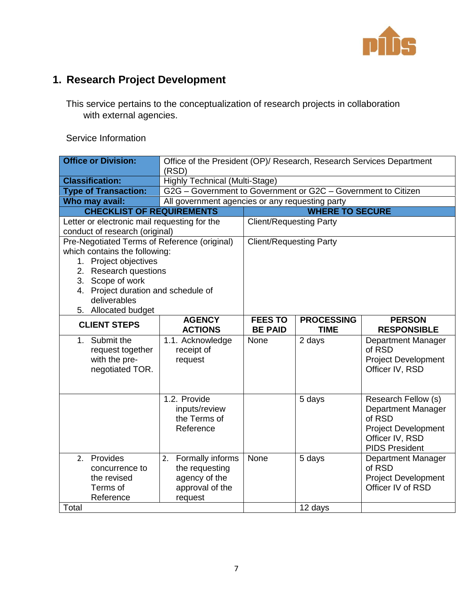

## **1. Research Project Development**

This service pertains to the conceptualization of research projects in collaboration with external agencies.

| <b>Office or Division:</b>                   | Office of the President (OP)/ Research, Research Services Department<br>(RSD) |                                |                        |                                               |
|----------------------------------------------|-------------------------------------------------------------------------------|--------------------------------|------------------------|-----------------------------------------------|
| <b>Classification:</b>                       | Highly Technical (Multi-Stage)                                                |                                |                        |                                               |
| <b>Type of Transaction:</b>                  | G2G - Government to Government or G2C - Government to Citizen                 |                                |                        |                                               |
| Who may avail:                               | All government agencies or any requesting party                               |                                |                        |                                               |
| <b>CHECKLIST OF REQUIREMENTS</b>             |                                                                               |                                | <b>WHERE TO SECURE</b> |                                               |
| Letter or electronic mail requesting for the |                                                                               | <b>Client/Requesting Party</b> |                        |                                               |
| conduct of research (original)               |                                                                               |                                |                        |                                               |
| Pre-Negotiated Terms of Reference (original) |                                                                               | <b>Client/Requesting Party</b> |                        |                                               |
| which contains the following:                |                                                                               |                                |                        |                                               |
| 1. Project objectives                        |                                                                               |                                |                        |                                               |
| 2. Research questions                        |                                                                               |                                |                        |                                               |
| 3. Scope of work                             |                                                                               |                                |                        |                                               |
| 4. Project duration and schedule of          |                                                                               |                                |                        |                                               |
| deliverables                                 |                                                                               |                                |                        |                                               |
| 5. Allocated budget                          |                                                                               |                                |                        |                                               |
| <b>CLIENT STEPS</b>                          | <b>AGENCY</b>                                                                 | <b>FEES TO</b>                 | <b>PROCESSING</b>      | <b>PERSON</b>                                 |
|                                              | <b>ACTIONS</b>                                                                | <b>BE PAID</b>                 | <b>TIME</b>            | <b>RESPONSIBLE</b>                            |
| 1. Submit the                                | 1.1. Acknowledge                                                              | None                           | 2 days                 | Department Manager                            |
| request together                             | receipt of                                                                    |                                |                        | of RSD                                        |
| with the pre-                                | request                                                                       |                                |                        | <b>Project Development</b>                    |
| negotiated TOR.                              |                                                                               |                                |                        | Officer IV, RSD                               |
|                                              |                                                                               |                                |                        |                                               |
|                                              | 1.2. Provide                                                                  |                                |                        |                                               |
|                                              |                                                                               |                                | 5 days                 | Research Fellow (s)                           |
|                                              | inputs/review<br>the Terms of                                                 |                                |                        | <b>Department Manager</b><br>of RSD           |
|                                              | Reference                                                                     |                                |                        |                                               |
|                                              |                                                                               |                                |                        | <b>Project Development</b><br>Officer IV, RSD |
|                                              |                                                                               |                                |                        | <b>PIDS President</b>                         |
| 2. Provides                                  | Formally informs<br>2.                                                        | None                           | 5 days                 | Department Manager                            |
| concurrence to                               | the requesting                                                                |                                |                        | of RSD                                        |
| the revised                                  | agency of the                                                                 |                                |                        | <b>Project Development</b>                    |
| Terms of                                     | approval of the                                                               |                                |                        | Officer IV of RSD                             |
| Reference                                    |                                                                               |                                |                        |                                               |
|                                              |                                                                               |                                |                        |                                               |
| Total                                        | request                                                                       |                                | 12 days                |                                               |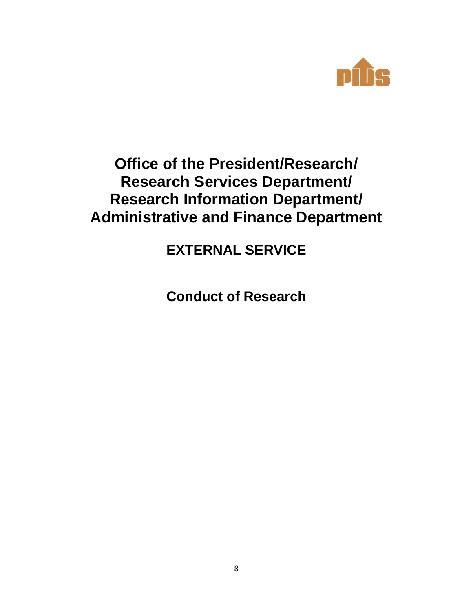

## **Office of the President/Research/ Research Services Department/ Research Information Department/ Administrative and Finance Department**

**EXTERNAL SERVICE**

**Conduct of Research**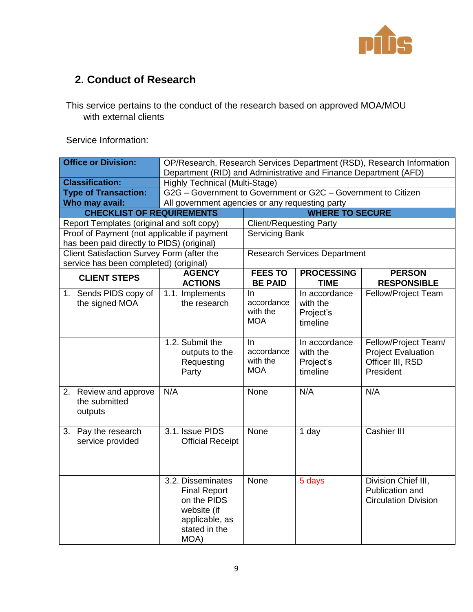

### **2. Conduct of Research**

This service pertains to the conduct of the research based on approved MOA/MOU with external clients

| <b>Office or Division:</b>                        | OP/Research, Research Services Department (RSD), Research Information<br>Department (RID) and Administrative and Finance Department (AFD) |                                             |                                                    |                                                                                    |
|---------------------------------------------------|-------------------------------------------------------------------------------------------------------------------------------------------|---------------------------------------------|----------------------------------------------------|------------------------------------------------------------------------------------|
| <b>Classification:</b>                            | <b>Highly Technical (Multi-Stage)</b>                                                                                                     |                                             |                                                    |                                                                                    |
| <b>Type of Transaction:</b>                       | G2G - Government to Government or G2C - Government to Citizen                                                                             |                                             |                                                    |                                                                                    |
| Who may avail:                                    | All government agencies or any requesting party                                                                                           |                                             |                                                    |                                                                                    |
| <b>CHECKLIST OF REQUIREMENTS</b>                  |                                                                                                                                           |                                             | <b>WHERE TO SECURE</b>                             |                                                                                    |
| Report Templates (original and soft copy)         | <b>Client/Requesting Party</b>                                                                                                            |                                             |                                                    |                                                                                    |
| Proof of Payment (not applicable if payment       |                                                                                                                                           | <b>Servicing Bank</b>                       |                                                    |                                                                                    |
| has been paid directly to PIDS) (original)        |                                                                                                                                           |                                             |                                                    |                                                                                    |
| Client Satisfaction Survey Form (after the        |                                                                                                                                           |                                             | <b>Research Services Department</b>                |                                                                                    |
| service has been completed) (original)            |                                                                                                                                           |                                             |                                                    |                                                                                    |
| <b>CLIENT STEPS</b>                               | <b>AGENCY</b><br><b>ACTIONS</b>                                                                                                           | <b>FEES TO</b><br><b>BE PAID</b>            | <b>PROCESSING</b><br><b>TIME</b>                   | <b>PERSON</b><br><b>RESPONSIBLE</b>                                                |
| 1. Sends PIDS copy of<br>the signed MOA           | 1.1. Implements<br>the research                                                                                                           | In<br>accordance<br>with the<br><b>MOA</b>  | In accordance<br>with the<br>Project's<br>timeline | Fellow/Project Team                                                                |
|                                                   | 1.2. Submit the<br>outputs to the<br>Requesting<br>Party                                                                                  | In.<br>accordance<br>with the<br><b>MOA</b> | In accordance<br>with the<br>Project's<br>timeline | Fellow/Project Team/<br><b>Project Evaluation</b><br>Officer III, RSD<br>President |
| 2. Review and approve<br>the submitted<br>outputs | N/A                                                                                                                                       | None                                        | N/A                                                | N/A                                                                                |
| 3. Pay the research<br>service provided           | 3.1. Issue PIDS<br><b>Official Receipt</b>                                                                                                | None                                        | 1 day                                              | <b>Cashier III</b>                                                                 |
|                                                   | 3.2. Disseminates<br><b>Final Report</b><br>on the PIDS<br>website (if<br>applicable, as<br>stated in the<br>MOA)                         | None                                        | 5 days                                             | Division Chief III,<br>Publication and<br><b>Circulation Division</b>              |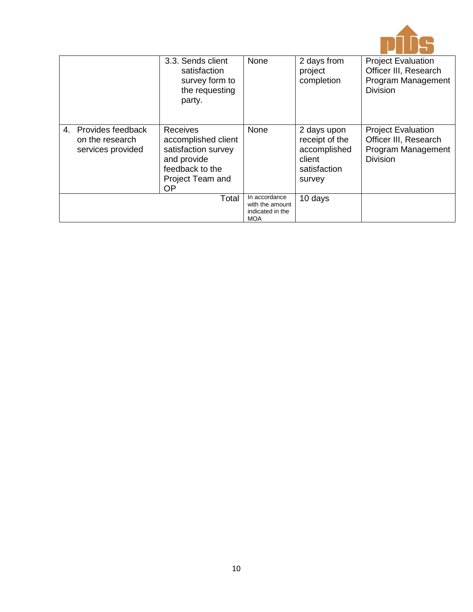

|                                                              | 3.3. Sends client<br>satisfaction<br>survey form to<br>the requesting<br>party.                                                  | None                                                               | 2 days from<br>project<br>completion                                              | <b>Project Evaluation</b><br>Officer III, Research<br>Program Management<br><b>Division</b> |
|--------------------------------------------------------------|----------------------------------------------------------------------------------------------------------------------------------|--------------------------------------------------------------------|-----------------------------------------------------------------------------------|---------------------------------------------------------------------------------------------|
| 4. Provides feedback<br>on the research<br>services provided | <b>Receives</b><br>accomplished client<br>satisfaction survey<br>and provide<br>feedback to the<br>Project Team and<br><b>OP</b> | None                                                               | 2 days upon<br>receipt of the<br>accomplished<br>client<br>satisfaction<br>survey | <b>Project Evaluation</b><br>Officer III, Research<br>Program Management<br><b>Division</b> |
|                                                              | Total                                                                                                                            | In accordance<br>with the amount<br>indicated in the<br><b>MOA</b> | 10 days                                                                           |                                                                                             |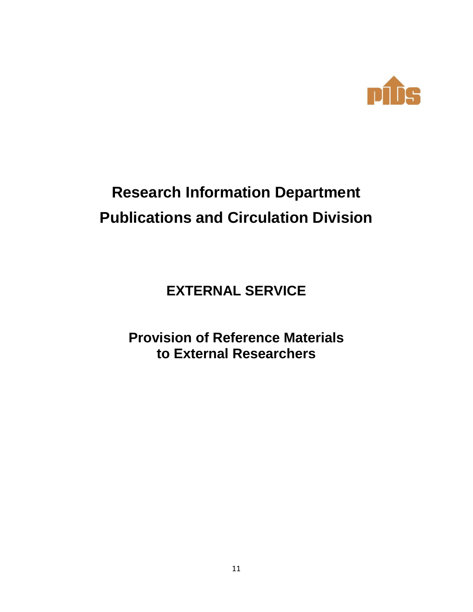

# **Research Information Department Publications and Circulation Division**

## **EXTERNAL SERVICE**

## **Provision of Reference Materials to External Researchers**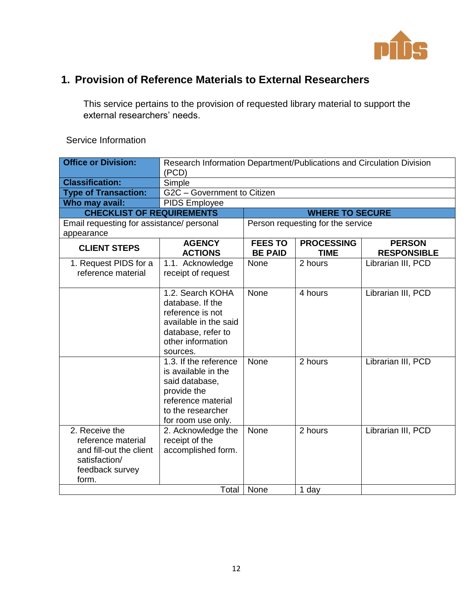

### **1. Provision of Reference Materials to External Researchers**

This service pertains to the provision of requested library material to support the external researchers' needs.

| <b>Office or Division:</b>                                                                                   | Research Information Department/Publications and Circulation Division<br>(PCD)                                                                 |                                  |                                   |                                     |  |
|--------------------------------------------------------------------------------------------------------------|------------------------------------------------------------------------------------------------------------------------------------------------|----------------------------------|-----------------------------------|-------------------------------------|--|
| <b>Classification:</b>                                                                                       | Simple                                                                                                                                         |                                  |                                   |                                     |  |
| <b>Type of Transaction:</b>                                                                                  | G2C - Government to Citizen                                                                                                                    |                                  |                                   |                                     |  |
| Who may avail:                                                                                               | <b>PIDS Employee</b>                                                                                                                           |                                  |                                   |                                     |  |
| <b>CHECKLIST OF REQUIREMENTS</b>                                                                             |                                                                                                                                                |                                  | <b>WHERE TO SECURE</b>            |                                     |  |
| Email requesting for assistance/ personal                                                                    |                                                                                                                                                |                                  | Person requesting for the service |                                     |  |
| appearance                                                                                                   | <b>AGENCY</b>                                                                                                                                  |                                  |                                   |                                     |  |
| <b>CLIENT STEPS</b>                                                                                          | <b>ACTIONS</b>                                                                                                                                 | <b>FEES TO</b><br><b>BE PAID</b> | <b>PROCESSING</b><br><b>TIME</b>  | <b>PERSON</b><br><b>RESPONSIBLE</b> |  |
| 1. Request PIDS for a<br>reference material                                                                  | 1.1. Acknowledge<br>receipt of request                                                                                                         | None                             | 2 hours                           | Librarian III, PCD                  |  |
|                                                                                                              | 1.2. Search KOHA<br>database. If the<br>reference is not<br>available in the said<br>database, refer to<br>other information<br>sources.       | <b>None</b>                      | 4 hours                           | Librarian III, PCD                  |  |
|                                                                                                              | 1.3. If the reference<br>is available in the<br>said database,<br>provide the<br>reference material<br>to the researcher<br>for room use only. | <b>None</b>                      | 2 hours                           | Librarian III, PCD                  |  |
| 2. Receive the<br>reference material<br>and fill-out the client<br>satisfaction/<br>feedback survey<br>form. | 2. Acknowledge the<br>receipt of the<br>accomplished form.                                                                                     | None                             | 2 hours                           | Librarian III, PCD                  |  |
|                                                                                                              | Total                                                                                                                                          | None                             | 1 day                             |                                     |  |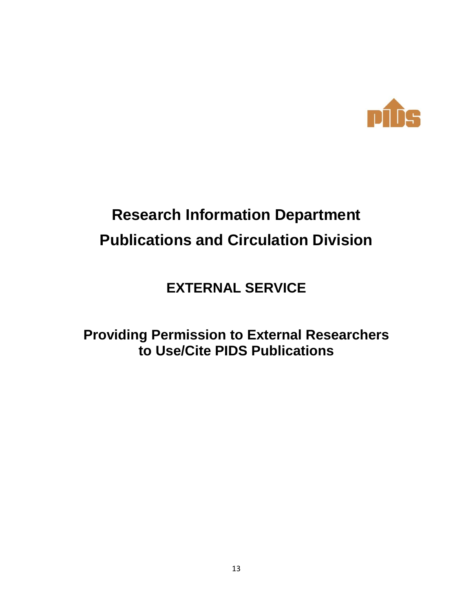

# **Research Information Department Publications and Circulation Division**

**EXTERNAL SERVICE**

**Providing Permission to External Researchers to Use/Cite PIDS Publications**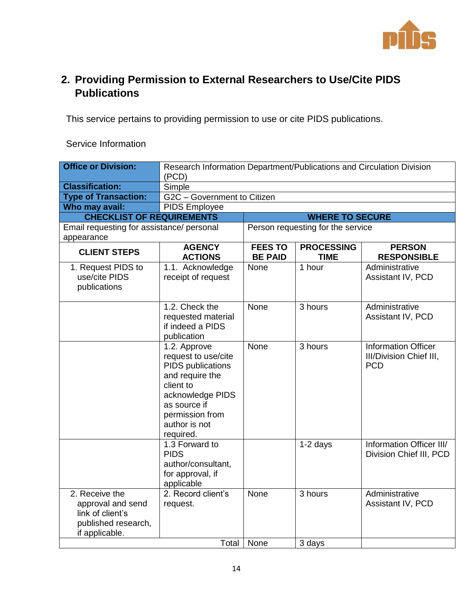

### **2. Providing Permission to External Researchers to Use/Cite PIDS Publications**

This service pertains to providing permission to use or cite PIDS publications.

| <b>Office or Division:</b>                                                                       | Research Information Department/Publications and Circulation Division<br>(PCD)                                                                                                |                                  |                                   |                                                                     |  |
|--------------------------------------------------------------------------------------------------|-------------------------------------------------------------------------------------------------------------------------------------------------------------------------------|----------------------------------|-----------------------------------|---------------------------------------------------------------------|--|
| <b>Classification:</b>                                                                           | Simple                                                                                                                                                                        |                                  |                                   |                                                                     |  |
| <b>Type of Transaction:</b>                                                                      | G2C - Government to Citizen                                                                                                                                                   |                                  |                                   |                                                                     |  |
| Who may avail:                                                                                   | PIDS Employee                                                                                                                                                                 |                                  |                                   |                                                                     |  |
| <b>CHECKLIST OF REQUIREMENTS</b>                                                                 |                                                                                                                                                                               |                                  | <b>WHERE TO SECURE</b>            |                                                                     |  |
| Email requesting for assistance/ personal<br>appearance                                          |                                                                                                                                                                               |                                  | Person requesting for the service |                                                                     |  |
| <b>CLIENT STEPS</b>                                                                              | <b>AGENCY</b><br><b>ACTIONS</b>                                                                                                                                               | <b>FEES TO</b><br><b>BE PAID</b> | <b>PROCESSING</b><br><b>TIME</b>  | <b>PERSON</b><br><b>RESPONSIBLE</b>                                 |  |
| 1. Request PIDS to<br>use/cite PIDS<br>publications                                              | 1.1. Acknowledge<br>receipt of request                                                                                                                                        | None                             | 1 hour                            | Administrative<br>Assistant IV, PCD                                 |  |
|                                                                                                  | 1.2. Check the<br>requested material<br>if indeed a PIDS<br>publication                                                                                                       | <b>None</b>                      | 3 hours                           | Administrative<br>Assistant IV, PCD                                 |  |
|                                                                                                  | 1.2. Approve<br>request to use/cite<br>PIDS publications<br>and require the<br>client to<br>acknowledge PIDS<br>as source if<br>permission from<br>author is not<br>required. | None                             | 3 hours                           | <b>Information Officer</b><br>III/Division Chief III,<br><b>PCD</b> |  |
|                                                                                                  | 1.3 Forward to<br><b>PIDS</b><br>author/consultant,<br>for approval, if<br>applicable                                                                                         |                                  | $1-2$ days                        | Information Officer III/<br>Division Chief III, PCD                 |  |
| 2. Receive the<br>approval and send<br>link of client's<br>published research,<br>if applicable. | 2. Record client's<br>request.                                                                                                                                                | <b>None</b>                      | 3 hours                           | Administrative<br>Assistant IV, PCD                                 |  |
|                                                                                                  | Total                                                                                                                                                                         | None                             | 3 days                            |                                                                     |  |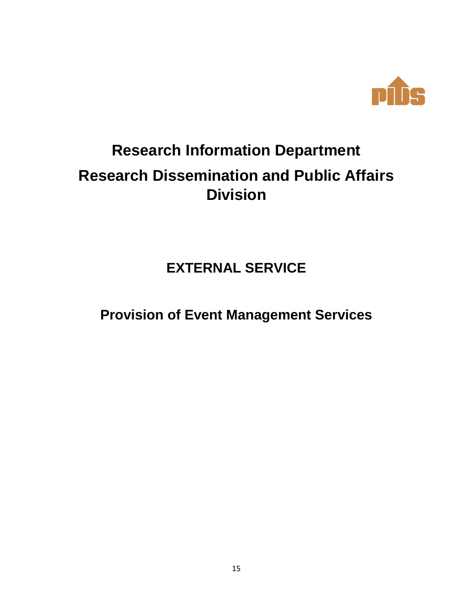

# **Research Information Department Research Dissemination and Public Affairs Division**

**EXTERNAL SERVICE**

**Provision of Event Management Services**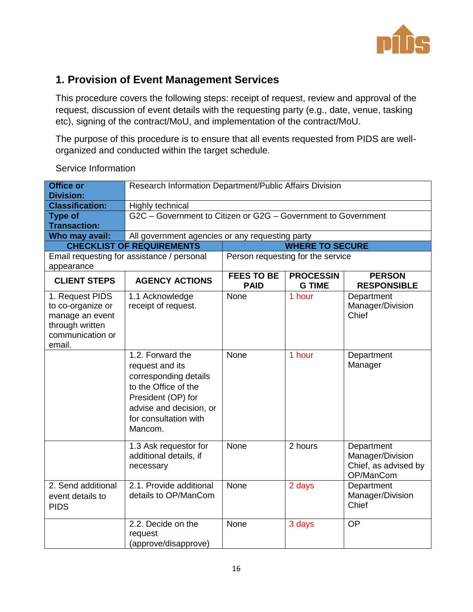

### **1. Provision of Event Management Services**

This procedure covers the following steps: receipt of request, review and approval of the request, discussion of event details with the requesting party (e.g., date, venue, tasking etc), signing of the contract/MoU, and implementation of the contract/MoU.

The purpose of this procedure is to ensure that all events requested from PIDS are wellorganized and conducted within the target schedule.

| <b>Office or</b><br><b>Division:</b>                                                                     | Research Information Department/Public Affairs Division                                                                                                                   |                                  |                                   |                                                                     |  |
|----------------------------------------------------------------------------------------------------------|---------------------------------------------------------------------------------------------------------------------------------------------------------------------------|----------------------------------|-----------------------------------|---------------------------------------------------------------------|--|
| <b>Classification:</b>                                                                                   | Highly technical                                                                                                                                                          |                                  |                                   |                                                                     |  |
| <b>Type of</b><br><b>Transaction:</b>                                                                    | G2C - Government to Citizen or G2G - Government to Government                                                                                                             |                                  |                                   |                                                                     |  |
| Who may avail:                                                                                           | All government agencies or any requesting party                                                                                                                           |                                  |                                   |                                                                     |  |
|                                                                                                          | <b>CHECKLIST OF REQUIREMENTS</b>                                                                                                                                          |                                  | <b>WHERE TO SECURE</b>            |                                                                     |  |
| appearance                                                                                               | Email requesting for assistance / personal                                                                                                                                |                                  | Person requesting for the service |                                                                     |  |
| <b>CLIENT STEPS</b>                                                                                      | <b>AGENCY ACTIONS</b>                                                                                                                                                     | <b>FEES TO BE</b><br><b>PAID</b> | <b>PROCESSIN</b><br><b>G TIME</b> | <b>PERSON</b><br><b>RESPONSIBLE</b>                                 |  |
| 1. Request PIDS<br>to co-organize or<br>manage an event<br>through written<br>communication or<br>email. | 1.1 Acknowledge<br>receipt of request.                                                                                                                                    | None                             | 1 hour                            | Department<br>Manager/Division<br>Chief                             |  |
|                                                                                                          | 1.2. Forward the<br>request and its<br>corresponding details<br>to the Office of the<br>President (OP) for<br>advise and decision, or<br>for consultation with<br>Mancom. | None                             | 1 hour                            | Department<br>Manager                                               |  |
|                                                                                                          | 1.3 Ask requestor for<br>additional details, if<br>necessary                                                                                                              | None                             | 2 hours                           | Department<br>Manager/Division<br>Chief, as advised by<br>OP/ManCom |  |
| 2. Send additional<br>event details to<br><b>PIDS</b>                                                    | 2.1. Provide additional<br>details to OP/ManCom                                                                                                                           | None                             | 2 days                            | Department<br>Manager/Division<br>Chief                             |  |
|                                                                                                          | 2.2. Decide on the<br>request<br>(approve/disapprove)                                                                                                                     | None                             | 3 days                            | <b>OP</b>                                                           |  |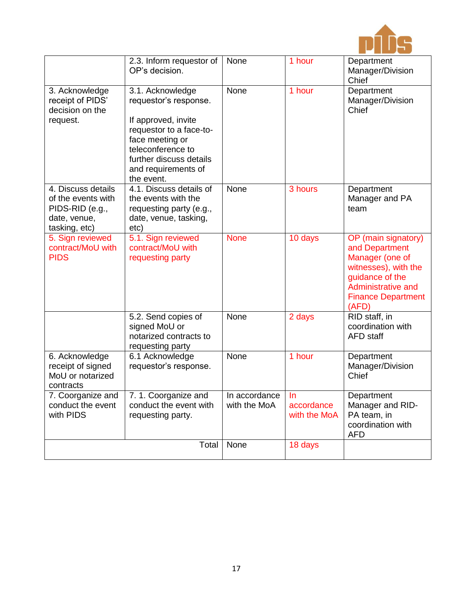

|                                                                                              | 2.3. Inform requestor of<br>OP's decision.                                                                                                                                                          | None                          | 1 hour                            | Department<br>Manager/Division<br>Chief                                                                                                                         |
|----------------------------------------------------------------------------------------------|-----------------------------------------------------------------------------------------------------------------------------------------------------------------------------------------------------|-------------------------------|-----------------------------------|-----------------------------------------------------------------------------------------------------------------------------------------------------------------|
| 3. Acknowledge<br>receipt of PIDS'<br>decision on the<br>request.                            | 3.1. Acknowledge<br>requestor's response.<br>If approved, invite<br>requestor to a face-to-<br>face meeting or<br>teleconference to<br>further discuss details<br>and requirements of<br>the event. | None                          | 1 hour                            | Department<br>Manager/Division<br>Chief                                                                                                                         |
| 4. Discuss details<br>of the events with<br>PIDS-RID (e.g.,<br>date, venue,<br>tasking, etc) | 4.1. Discuss details of<br>the events with the<br>requesting party (e.g.,<br>date, venue, tasking,<br>etc)                                                                                          | None                          | 3 hours                           | Department<br>Manager and PA<br>team                                                                                                                            |
| 5. Sign reviewed<br>contract/MoU with<br><b>PIDS</b>                                         | 5.1. Sign reviewed<br>contract/MoU with<br>requesting party                                                                                                                                         | <b>None</b>                   | 10 days                           | OP (main signatory)<br>and Department<br>Manager (one of<br>witnesses), with the<br>guidance of the<br>Administrative and<br><b>Finance Department</b><br>(AFD) |
|                                                                                              | 5.2. Send copies of<br>signed MoU or<br>notarized contracts to<br>requesting party                                                                                                                  | None                          | 2 days                            | RID staff, in<br>coordination with<br><b>AFD</b> staff                                                                                                          |
| 6. Acknowledge<br>receipt of signed<br>MoU or notarized<br>contracts                         | 6.1 Acknowledge<br>requestor's response.                                                                                                                                                            | None                          | 1 hour                            | Department<br>Manager/Division<br>Chief                                                                                                                         |
| 7. Coorganize and<br>conduct the event<br>with PIDS                                          | 7. 1. Coorganize and<br>conduct the event with<br>requesting party.                                                                                                                                 | In accordance<br>with the MoA | -In<br>accordance<br>with the MoA | Department<br>Manager and RID-<br>PA team, in<br>coordination with<br><b>AFD</b>                                                                                |
|                                                                                              | Total                                                                                                                                                                                               | None                          | 18 days                           |                                                                                                                                                                 |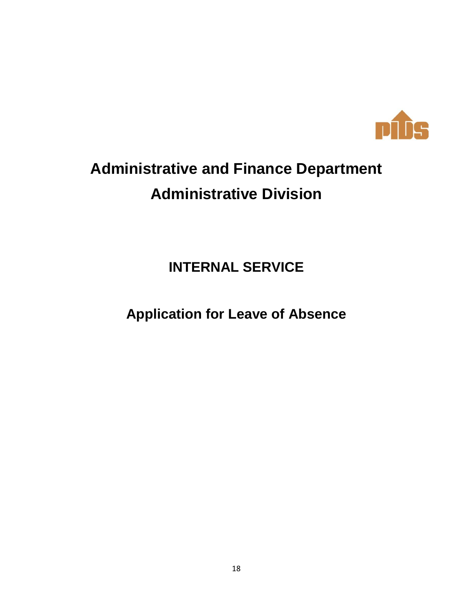

# **Administrative and Finance Department Administrative Division**

**INTERNAL SERVICE**

**Application for Leave of Absence**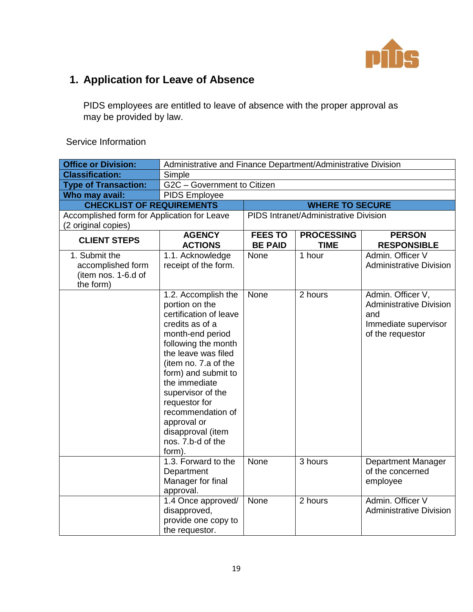

## **1. Application for Leave of Absence**

PIDS employees are entitled to leave of absence with the proper approval as may be provided by law.

| <b>Office or Division:</b>                                             | Administrative and Finance Department/Administrative Division                                                                                                                                                                                                                                                                                      |                                  |                                       |                                                                                                        |
|------------------------------------------------------------------------|----------------------------------------------------------------------------------------------------------------------------------------------------------------------------------------------------------------------------------------------------------------------------------------------------------------------------------------------------|----------------------------------|---------------------------------------|--------------------------------------------------------------------------------------------------------|
| <b>Classification:</b>                                                 | Simple                                                                                                                                                                                                                                                                                                                                             |                                  |                                       |                                                                                                        |
| <b>Type of Transaction:</b>                                            | G2C - Government to Citizen                                                                                                                                                                                                                                                                                                                        |                                  |                                       |                                                                                                        |
| Who may avail:                                                         | <b>PIDS Employee</b>                                                                                                                                                                                                                                                                                                                               |                                  |                                       |                                                                                                        |
| <b>CHECKLIST OF REQUIREMENTS</b>                                       |                                                                                                                                                                                                                                                                                                                                                    |                                  | <b>WHERE TO SECURE</b>                |                                                                                                        |
| Accomplished form for Application for Leave                            |                                                                                                                                                                                                                                                                                                                                                    |                                  | PIDS Intranet/Administrative Division |                                                                                                        |
| (2 original copies)                                                    |                                                                                                                                                                                                                                                                                                                                                    |                                  |                                       |                                                                                                        |
| <b>CLIENT STEPS</b>                                                    | <b>AGENCY</b><br><b>ACTIONS</b>                                                                                                                                                                                                                                                                                                                    | <b>FEES TO</b><br><b>BE PAID</b> | <b>PROCESSING</b><br><b>TIME</b>      | <b>PERSON</b><br><b>RESPONSIBLE</b>                                                                    |
| 1. Submit the<br>accomplished form<br>(item nos. 1-6.d of<br>the form) | 1.1. Acknowledge<br>receipt of the form.                                                                                                                                                                                                                                                                                                           | None                             | 1 hour                                | Admin. Officer V<br><b>Administrative Division</b>                                                     |
|                                                                        | 1.2. Accomplish the<br>portion on the<br>certification of leave<br>credits as of a<br>month-end period<br>following the month<br>the leave was filed<br>(item no. 7.a of the<br>form) and submit to<br>the immediate<br>supervisor of the<br>requestor for<br>recommendation of<br>approval or<br>disapproval (item<br>nos. 7.b-d of the<br>form). | None                             | 2 hours                               | Admin. Officer V,<br><b>Administrative Division</b><br>and<br>Immediate supervisor<br>of the requestor |
|                                                                        | 1.3. Forward to the<br>Department<br>Manager for final<br>approval.                                                                                                                                                                                                                                                                                | None                             | 3 hours                               | <b>Department Manager</b><br>of the concerned<br>employee                                              |
|                                                                        | 1.4 Once approved/<br>disapproved,<br>provide one copy to<br>the requestor.                                                                                                                                                                                                                                                                        | None                             | 2 hours                               | Admin. Officer V<br><b>Administrative Division</b>                                                     |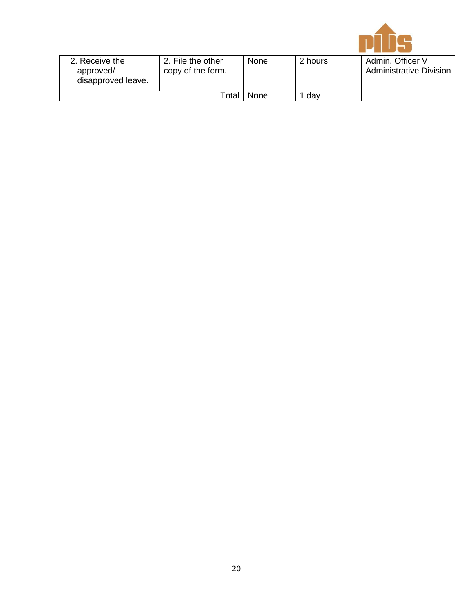

| 2. Receive the<br>approved/<br>disapproved leave. | 2. File the other<br>copy of the form. | None | 2 hours | Admin. Officer \<br><b>Administrative Division</b> |
|---------------------------------------------------|----------------------------------------|------|---------|----------------------------------------------------|
|                                                   | None<br>$^{\sf \tiny \sf Total}$ .     | dav  |         |                                                    |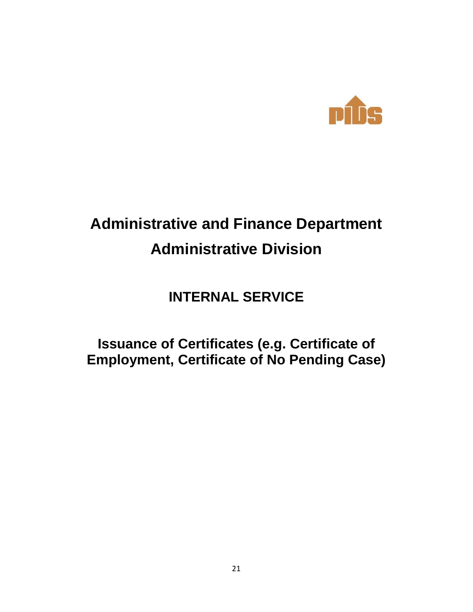

# **Administrative and Finance Department Administrative Division**

## **INTERNAL SERVICE**

## **Issuance of Certificates (e.g. Certificate of Employment, Certificate of No Pending Case)**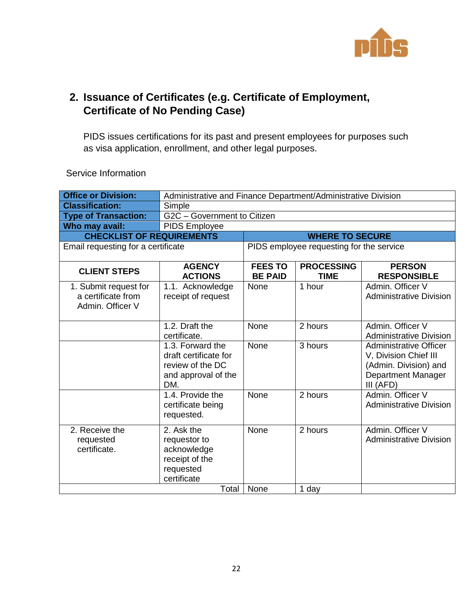

### **2. Issuance of Certificates (e.g. Certificate of Employment, Certificate of No Pending Case)**

PIDS issues certifications for its past and present employees for purposes such as visa application, enrollment, and other legal purposes.

| <b>Office or Division:</b>                                      | Administrative and Finance Department/Administrative Division                               |                                  |                                          |                                                                                                                    |
|-----------------------------------------------------------------|---------------------------------------------------------------------------------------------|----------------------------------|------------------------------------------|--------------------------------------------------------------------------------------------------------------------|
| <b>Classification:</b>                                          | Simple                                                                                      |                                  |                                          |                                                                                                                    |
| <b>Type of Transaction:</b>                                     | G2C - Government to Citizen                                                                 |                                  |                                          |                                                                                                                    |
| Who may avail:                                                  | <b>PIDS Employee</b>                                                                        |                                  |                                          |                                                                                                                    |
| <b>CHECKLIST OF REQUIREMENTS</b>                                |                                                                                             |                                  | <b>WHERE TO SECURE</b>                   |                                                                                                                    |
| Email requesting for a certificate                              |                                                                                             |                                  | PIDS employee requesting for the service |                                                                                                                    |
| <b>CLIENT STEPS</b>                                             | <b>AGENCY</b><br><b>ACTIONS</b>                                                             | <b>FEES TO</b><br><b>BE PAID</b> | <b>PROCESSING</b><br><b>TIME</b>         | <b>PERSON</b><br><b>RESPONSIBLE</b>                                                                                |
| 1. Submit request for<br>a certificate from<br>Admin, Officer V | 1.1. Acknowledge<br>receipt of request                                                      | None                             | 1 hour                                   | Admin, Officer V<br><b>Administrative Division</b>                                                                 |
|                                                                 | 1.2. Draft the<br>certificate.                                                              | None                             | 2 hours                                  | Admin. Officer V<br><b>Administrative Division</b>                                                                 |
|                                                                 | 1.3. Forward the<br>draft certificate for<br>review of the DC<br>and approval of the<br>DM. | None                             | 3 hours                                  | <b>Administrative Officer</b><br>V, Division Chief III<br>(Admin. Division) and<br>Department Manager<br>III (AFD) |
|                                                                 | 1.4. Provide the<br>certificate being<br>requested.                                         | None                             | 2 hours                                  | Admin. Officer V<br><b>Administrative Division</b>                                                                 |
| 2. Receive the<br>requested<br>certificate.                     | 2. Ask the<br>requestor to<br>acknowledge<br>receipt of the<br>requested<br>certificate     | None                             | 2 hours                                  | Admin. Officer V<br><b>Administrative Division</b>                                                                 |
| None<br>Total<br>1 day                                          |                                                                                             |                                  |                                          |                                                                                                                    |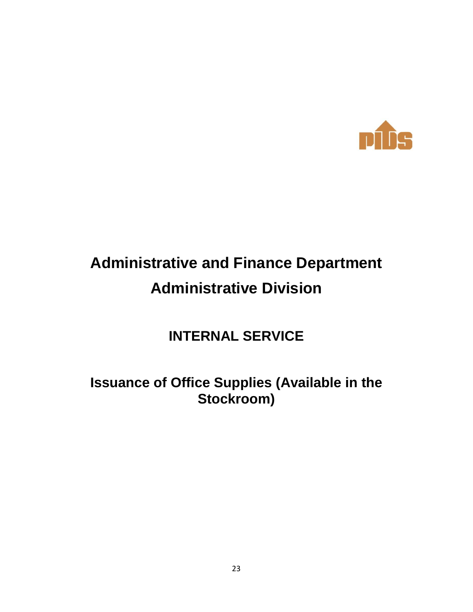

# **Administrative and Finance Department Administrative Division**

## **INTERNAL SERVICE**

## **Issuance of Office Supplies (Available in the Stockroom)**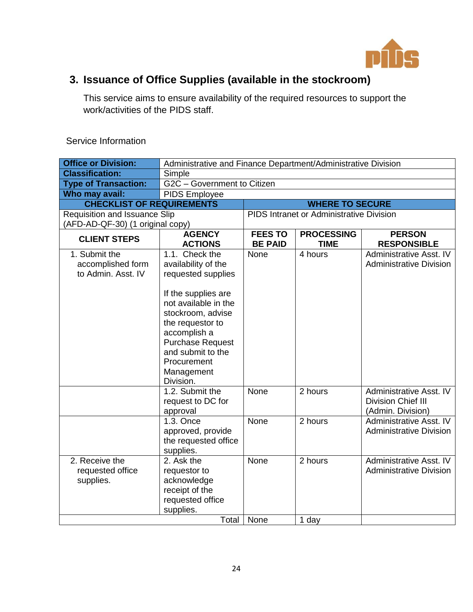

## **3. Issuance of Office Supplies (available in the stockroom)**

This service aims to ensure availability of the required resources to support the work/activities of the PIDS staff.

| <b>Office or Division:</b>                               | Administrative and Finance Department/Administrative Division                                                                                                                                                                                                 |                                  |                                          |                                                                           |
|----------------------------------------------------------|---------------------------------------------------------------------------------------------------------------------------------------------------------------------------------------------------------------------------------------------------------------|----------------------------------|------------------------------------------|---------------------------------------------------------------------------|
| <b>Classification:</b>                                   | Simple                                                                                                                                                                                                                                                        |                                  |                                          |                                                                           |
| <b>Type of Transaction:</b>                              | G2C - Government to Citizen                                                                                                                                                                                                                                   |                                  |                                          |                                                                           |
| Who may avail:                                           | <b>PIDS Employee</b>                                                                                                                                                                                                                                          |                                  |                                          |                                                                           |
| <b>CHECKLIST OF REQUIREMENTS</b>                         |                                                                                                                                                                                                                                                               |                                  | <b>WHERE TO SECURE</b>                   |                                                                           |
| Requisition and Issuance Slip                            |                                                                                                                                                                                                                                                               |                                  | PIDS Intranet or Administrative Division |                                                                           |
| (AFD-AD-QF-30) (1 original copy)                         |                                                                                                                                                                                                                                                               |                                  |                                          |                                                                           |
| <b>CLIENT STEPS</b>                                      | <b>AGENCY</b><br><b>ACTIONS</b>                                                                                                                                                                                                                               | <b>FEES TO</b><br><b>BE PAID</b> | <b>PROCESSING</b><br><b>TIME</b>         | <b>PERSON</b><br><b>RESPONSIBLE</b>                                       |
| 1. Submit the<br>accomplished form<br>to Admin, Asst. IV | 1.1. Check the<br>availability of the<br>requested supplies<br>If the supplies are<br>not available in the<br>stockroom, advise<br>the requestor to<br>accomplish a<br><b>Purchase Request</b><br>and submit to the<br>Procurement<br>Management<br>Division. | None                             | 4 hours                                  | Administrative Asst. IV<br><b>Administrative Division</b>                 |
|                                                          | 1.2. Submit the<br>request to DC for<br>approval                                                                                                                                                                                                              | None                             | 2 hours                                  | Administrative Asst. IV<br><b>Division Chief III</b><br>(Admin. Division) |
|                                                          | 1.3. Once<br>approved, provide<br>the requested office<br>supplies.                                                                                                                                                                                           | None                             | 2 hours                                  | Administrative Asst. IV<br><b>Administrative Division</b>                 |
| 2. Receive the<br>requested office<br>supplies.          | 2. Ask the<br>requestor to<br>acknowledge<br>receipt of the<br>requested office<br>supplies.                                                                                                                                                                  | None                             | 2 hours                                  | Administrative Asst. IV<br><b>Administrative Division</b>                 |
|                                                          | Total                                                                                                                                                                                                                                                         | None                             | 1 day                                    |                                                                           |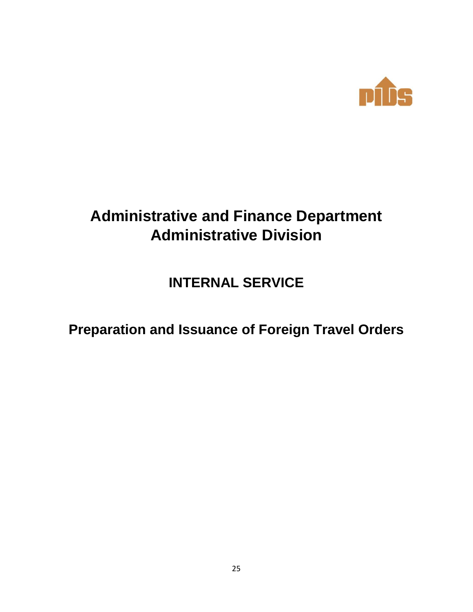

# **Administrative and Finance Department Administrative Division**

**INTERNAL SERVICE**

**Preparation and Issuance of Foreign Travel Orders**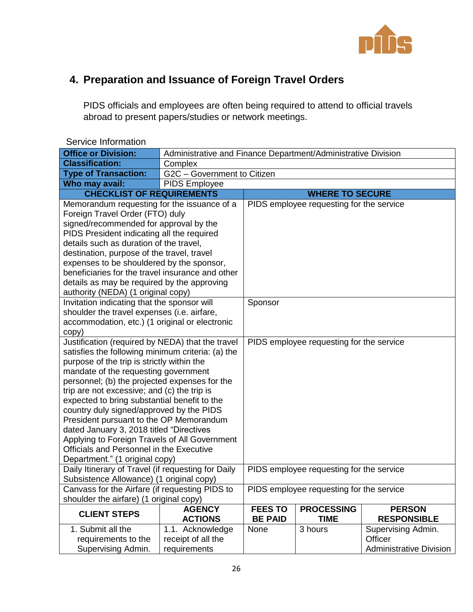

## **4. Preparation and Issuance of Foreign Travel Orders**

PIDS officials and employees are often being required to attend to official travels abroad to present papers/studies or network meetings.

| Service Information                                                                             |                                                               |                                          |                                          |                                     |
|-------------------------------------------------------------------------------------------------|---------------------------------------------------------------|------------------------------------------|------------------------------------------|-------------------------------------|
| <b>Office or Division:</b>                                                                      | Administrative and Finance Department/Administrative Division |                                          |                                          |                                     |
| <b>Classification:</b>                                                                          | Complex                                                       |                                          |                                          |                                     |
| <b>Type of Transaction:</b>                                                                     | G2C - Government to Citizen                                   |                                          |                                          |                                     |
| Who may avail:                                                                                  | <b>PIDS Employee</b>                                          |                                          |                                          |                                     |
| <b>CHECKLIST OF REQUIREMENTS</b>                                                                |                                                               | <b>WHERE TO SECURE</b>                   |                                          |                                     |
| Memorandum requesting for the issuance of a                                                     |                                                               |                                          | PIDS employee requesting for the service |                                     |
| Foreign Travel Order (FTO) duly                                                                 |                                                               |                                          |                                          |                                     |
| signed/recommended for approval by the                                                          |                                                               |                                          |                                          |                                     |
| PIDS President indicating all the required                                                      |                                                               |                                          |                                          |                                     |
| details such as duration of the travel,                                                         |                                                               |                                          |                                          |                                     |
| destination, purpose of the travel, travel                                                      |                                                               |                                          |                                          |                                     |
| expenses to be shouldered by the sponsor,                                                       |                                                               |                                          |                                          |                                     |
| beneficiaries for the travel insurance and other                                                |                                                               |                                          |                                          |                                     |
| details as may be required by the approving                                                     |                                                               |                                          |                                          |                                     |
| authority (NEDA) (1 original copy)                                                              |                                                               |                                          |                                          |                                     |
| Invitation indicating that the sponsor will                                                     |                                                               | Sponsor                                  |                                          |                                     |
| shoulder the travel expenses (i.e. airfare,                                                     |                                                               |                                          |                                          |                                     |
| accommodation, etc.) (1 original or electronic                                                  |                                                               |                                          |                                          |                                     |
| copy)                                                                                           |                                                               |                                          |                                          |                                     |
| Justification (required by NEDA) that the travel                                                |                                                               | PIDS employee requesting for the service |                                          |                                     |
| satisfies the following minimum criteria: (a) the<br>purpose of the trip is strictly within the |                                                               |                                          |                                          |                                     |
| mandate of the requesting government                                                            |                                                               |                                          |                                          |                                     |
| personnel; (b) the projected expenses for the                                                   |                                                               |                                          |                                          |                                     |
| trip are not excessive; and (c) the trip is                                                     |                                                               |                                          |                                          |                                     |
| expected to bring substantial benefit to the                                                    |                                                               |                                          |                                          |                                     |
| country duly signed/approved by the PIDS                                                        |                                                               |                                          |                                          |                                     |
| President pursuant to the OP Memorandum                                                         |                                                               |                                          |                                          |                                     |
| dated January 3, 2018 titled "Directives                                                        |                                                               |                                          |                                          |                                     |
| Applying to Foreign Travels of All Government                                                   |                                                               |                                          |                                          |                                     |
| <b>Officials and Personnel in the Executive</b>                                                 |                                                               |                                          |                                          |                                     |
| Department." (1 original copy)                                                                  |                                                               |                                          |                                          |                                     |
| Daily Itinerary of Travel (if requesting for Daily                                              |                                                               | PIDS employee requesting for the service |                                          |                                     |
| Subsistence Allowance) (1 original copy)                                                        |                                                               |                                          |                                          |                                     |
| Canvass for the Airfare (if requesting PIDS to                                                  |                                                               |                                          | PIDS employee requesting for the service |                                     |
| shoulder the airfare) (1 original copy)                                                         |                                                               |                                          |                                          |                                     |
| <b>CLIENT STEPS</b>                                                                             | <b>AGENCY</b><br><b>ACTIONS</b>                               | <b>FEES TO</b><br><b>BE PAID</b>         | <b>PROCESSING</b><br><b>TIME</b>         | <b>PERSON</b><br><b>RESPONSIBLE</b> |
| 1. Submit all the                                                                               | 1.1. Acknowledge                                              | None                                     | 3 hours                                  | Supervising Admin.                  |
| requirements to the                                                                             | receipt of all the                                            |                                          |                                          | Officer                             |
| Supervising Admin.                                                                              | requirements                                                  |                                          |                                          | <b>Administrative Division</b>      |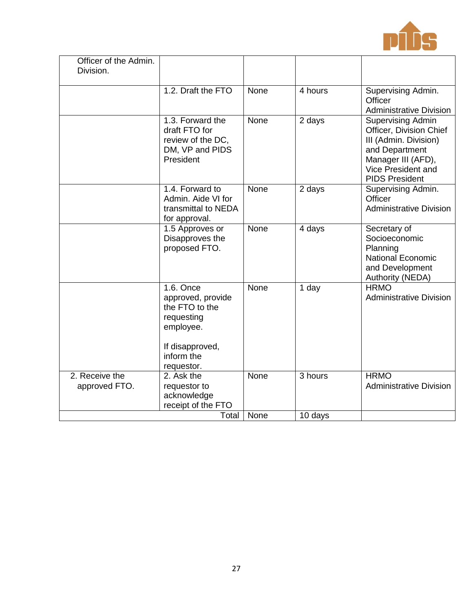

| Officer of the Admin. |                                                                                                              |             |         |                                                                                                                                                              |
|-----------------------|--------------------------------------------------------------------------------------------------------------|-------------|---------|--------------------------------------------------------------------------------------------------------------------------------------------------------------|
| Division.             |                                                                                                              |             |         |                                                                                                                                                              |
|                       | 1.2. Draft the FTO                                                                                           | None        | 4 hours | Supervising Admin.<br>Officer<br><b>Administrative Division</b>                                                                                              |
|                       | 1.3. Forward the<br>draft FTO for<br>review of the DC,<br>DM, VP and PIDS<br>President                       | None        | 2 days  | Supervising Admin<br>Officer, Division Chief<br>III (Admin. Division)<br>and Department<br>Manager III (AFD),<br>Vice President and<br><b>PIDS President</b> |
|                       | 1.4. Forward to<br>Admin, Aide VI for<br>transmittal to NEDA<br>for approval.                                | <b>None</b> | 2 days  | Supervising Admin.<br>Officer<br><b>Administrative Division</b>                                                                                              |
|                       | 1.5 Approves or<br>Disapproves the<br>proposed FTO.                                                          | None        | 4 days  | Secretary of<br>Socioeconomic<br>Planning<br><b>National Economic</b><br>and Development<br>Authority (NEDA)                                                 |
|                       | 1.6. Once<br>approved, provide<br>the FTO to the<br>requesting<br>employee.<br>If disapproved,<br>inform the | None        | 1 day   | <b>HRMO</b><br><b>Administrative Division</b>                                                                                                                |
| 2. Receive the        | requestor.<br>2. Ask the                                                                                     | None        | 3 hours | <b>HRMO</b>                                                                                                                                                  |
| approved FTO.         | requestor to<br>acknowledge<br>receipt of the FTO                                                            |             |         | <b>Administrative Division</b>                                                                                                                               |
|                       | Total                                                                                                        | None        | 10 days |                                                                                                                                                              |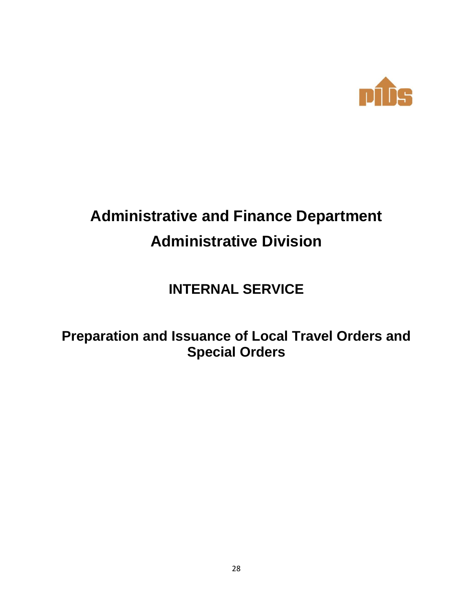

# **Administrative and Finance Department Administrative Division**

## **INTERNAL SERVICE**

## **Preparation and Issuance of Local Travel Orders and Special Orders**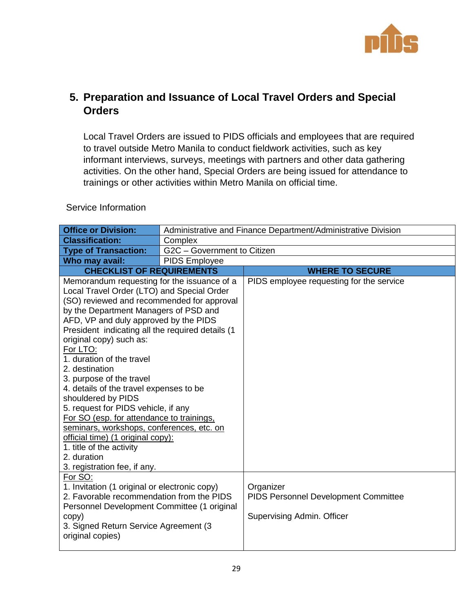

#### **5. Preparation and Issuance of Local Travel Orders and Special Orders**

Local Travel Orders are issued to PIDS officials and employees that are required to travel outside Metro Manila to conduct fieldwork activities, such as key informant interviews, surveys, meetings with partners and other data gathering activities. On the other hand, Special Orders are being issued for attendance to trainings or other activities within Metro Manila on official time.

| <b>Office or Division:</b>                                                                                                                                                                                                                                                                                                                                                                                                                                                                                                                                                                                                                                                                                        |                             | Administrative and Finance Department/Administrative Division                   |
|-------------------------------------------------------------------------------------------------------------------------------------------------------------------------------------------------------------------------------------------------------------------------------------------------------------------------------------------------------------------------------------------------------------------------------------------------------------------------------------------------------------------------------------------------------------------------------------------------------------------------------------------------------------------------------------------------------------------|-----------------------------|---------------------------------------------------------------------------------|
| <b>Classification:</b>                                                                                                                                                                                                                                                                                                                                                                                                                                                                                                                                                                                                                                                                                            | Complex                     |                                                                                 |
| <b>Type of Transaction:</b>                                                                                                                                                                                                                                                                                                                                                                                                                                                                                                                                                                                                                                                                                       | G2C - Government to Citizen |                                                                                 |
| Who may avail:                                                                                                                                                                                                                                                                                                                                                                                                                                                                                                                                                                                                                                                                                                    | PIDS Employee               |                                                                                 |
| <b>CHECKLIST OF REQUIREMENTS</b>                                                                                                                                                                                                                                                                                                                                                                                                                                                                                                                                                                                                                                                                                  |                             | <b>WHERE TO SECURE</b>                                                          |
| Memorandum requesting for the issuance of a<br>Local Travel Order (LTO) and Special Order<br>(SO) reviewed and recommended for approval<br>by the Department Managers of PSD and<br>AFD, VP and duly approved by the PIDS<br>President indicating all the required details (1<br>original copy) such as:<br>For LTO:<br>1. duration of the travel<br>2. destination<br>3. purpose of the travel<br>4. details of the travel expenses to be<br>shouldered by PIDS<br>5. request for PIDS vehicle, if any<br>For SO (esp. for attendance to trainings.<br>seminars, workshops, conferences, etc. on<br>official time) (1 original copy):<br>1. title of the activity<br>2. duration<br>3. registration fee, if any. |                             | PIDS employee requesting for the service                                        |
| For SO:<br>1. Invitation (1 original or electronic copy)<br>2. Favorable recommendation from the PIDS<br>Personnel Development Committee (1 original<br>copy)<br>3. Signed Return Service Agreement (3<br>original copies)                                                                                                                                                                                                                                                                                                                                                                                                                                                                                        |                             | Organizer<br>PIDS Personnel Development Committee<br>Supervising Admin. Officer |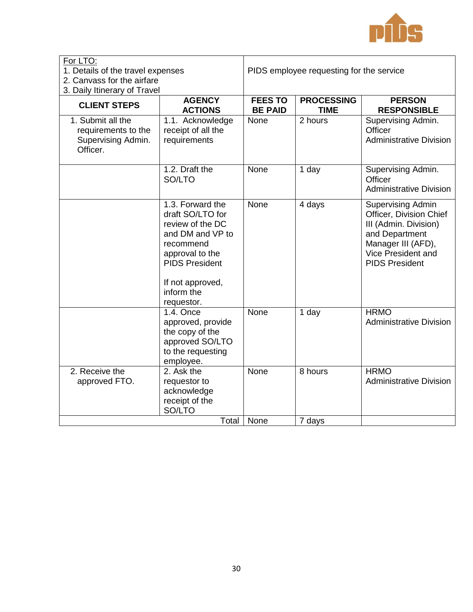

| For LTO:<br>1. Details of the travel expenses<br>2. Canvass for the airfare<br>3. Daily Itinerary of Travel |                                                                                                                                                                                       | PIDS employee requesting for the service |                                  |                                                                                                                                                                     |
|-------------------------------------------------------------------------------------------------------------|---------------------------------------------------------------------------------------------------------------------------------------------------------------------------------------|------------------------------------------|----------------------------------|---------------------------------------------------------------------------------------------------------------------------------------------------------------------|
| <b>CLIENT STEPS</b>                                                                                         | <b>AGENCY</b><br><b>ACTIONS</b>                                                                                                                                                       | <b>FEES TO</b><br><b>BE PAID</b>         | <b>PROCESSING</b><br><b>TIME</b> | <b>PERSON</b><br><b>RESPONSIBLE</b>                                                                                                                                 |
| 1. Submit all the<br>requirements to the<br>Supervising Admin.<br>Officer.                                  | 1.1. Acknowledge<br>receipt of all the<br>requirements                                                                                                                                | None                                     | 2 hours                          | Supervising Admin.<br>Officer<br><b>Administrative Division</b>                                                                                                     |
|                                                                                                             | 1.2. Draft the<br>SO/LTO                                                                                                                                                              | None                                     | 1 day                            | Supervising Admin.<br>Officer<br><b>Administrative Division</b>                                                                                                     |
|                                                                                                             | 1.3. Forward the<br>draft SO/LTO for<br>review of the DC<br>and DM and VP to<br>recommend<br>approval to the<br><b>PIDS President</b><br>If not approved,<br>inform the<br>requestor. | None                                     | 4 days                           | <b>Supervising Admin</b><br>Officer, Division Chief<br>III (Admin. Division)<br>and Department<br>Manager III (AFD),<br>Vice President and<br><b>PIDS President</b> |
|                                                                                                             | 1.4. Once<br>approved, provide<br>the copy of the<br>approved SO/LTO<br>to the requesting<br>employee.                                                                                | None                                     | 1 day                            | <b>HRMO</b><br><b>Administrative Division</b>                                                                                                                       |
| 2. Receive the<br>approved FTO.                                                                             | 2. Ask the<br>requestor to<br>acknowledge<br>receipt of the<br>SO/LTO                                                                                                                 | None                                     | 8 hours                          | <b>HRMO</b><br><b>Administrative Division</b>                                                                                                                       |
|                                                                                                             | Total                                                                                                                                                                                 | None                                     | 7 days                           |                                                                                                                                                                     |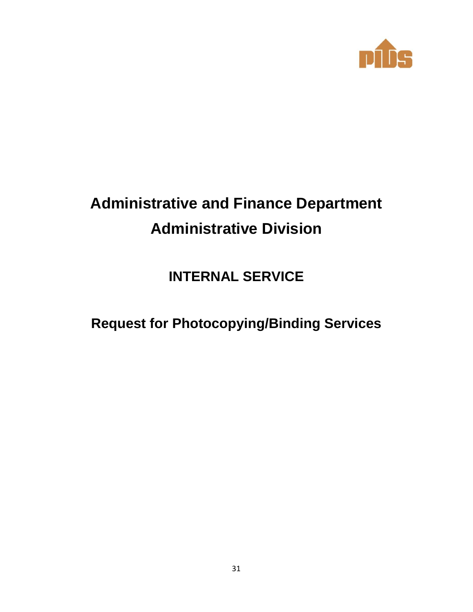

# **Administrative and Finance Department Administrative Division**

## **INTERNAL SERVICE**

**Request for Photocopying/Binding Services**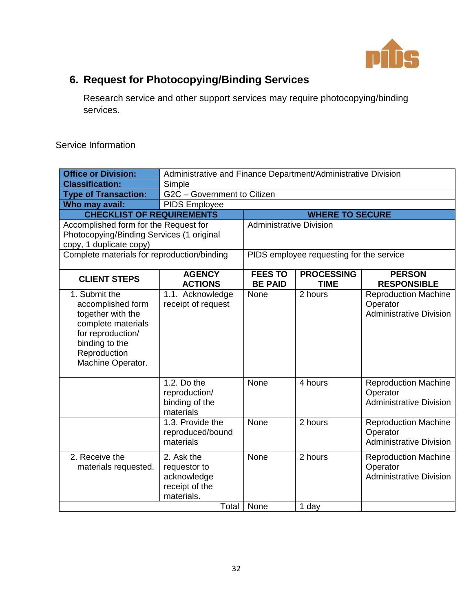

## **6. Request for Photocopying/Binding Services**

Research service and other support services may require photocopying/binding services.

| <b>Office or Division:</b>                                                                                                                                | Administrative and Finance Department/Administrative Division                      |                                  |                                          |                                                                           |
|-----------------------------------------------------------------------------------------------------------------------------------------------------------|------------------------------------------------------------------------------------|----------------------------------|------------------------------------------|---------------------------------------------------------------------------|
| <b>Classification:</b>                                                                                                                                    | Simple                                                                             |                                  |                                          |                                                                           |
| <b>Type of Transaction:</b>                                                                                                                               | G2C - Government to Citizen                                                        |                                  |                                          |                                                                           |
| Who may avail:                                                                                                                                            | PIDS Employee                                                                      |                                  |                                          |                                                                           |
| <b>CHECKLIST OF REQUIREMENTS</b>                                                                                                                          |                                                                                    |                                  | <b>WHERE TO SECURE</b>                   |                                                                           |
| Accomplished form for the Request for                                                                                                                     |                                                                                    | <b>Administrative Division</b>   |                                          |                                                                           |
| Photocopying/Binding Services (1 original                                                                                                                 |                                                                                    |                                  |                                          |                                                                           |
| copy, 1 duplicate copy)                                                                                                                                   |                                                                                    |                                  |                                          |                                                                           |
| Complete materials for reproduction/binding                                                                                                               |                                                                                    |                                  | PIDS employee requesting for the service |                                                                           |
| <b>CLIENT STEPS</b>                                                                                                                                       | <b>AGENCY</b><br><b>ACTIONS</b>                                                    | <b>FEES TO</b><br><b>BE PAID</b> | <b>PROCESSING</b><br><b>TIME</b>         | <b>PERSON</b><br><b>RESPONSIBLE</b>                                       |
| 1. Submit the<br>accomplished form<br>together with the<br>complete materials<br>for reproduction/<br>binding to the<br>Reproduction<br>Machine Operator. | 1.1. Acknowledge<br>receipt of request                                             | None                             | 2 hours                                  | <b>Reproduction Machine</b><br>Operator<br><b>Administrative Division</b> |
|                                                                                                                                                           | 1.2. Do the<br>reproduction/<br>binding of the<br>materials                        | None                             | 4 hours                                  | <b>Reproduction Machine</b><br>Operator<br><b>Administrative Division</b> |
|                                                                                                                                                           | 1.3. Provide the<br>reproduced/bound<br>materials                                  | None                             | 2 hours                                  | <b>Reproduction Machine</b><br>Operator<br><b>Administrative Division</b> |
| 2. Receive the<br>materials requested.                                                                                                                    | 2. Ask the<br>requestor to<br>acknowledge<br>receipt of the<br>materials.<br>Total | None                             | 2 hours                                  | <b>Reproduction Machine</b><br>Operator<br><b>Administrative Division</b> |
|                                                                                                                                                           | None                                                                               | 1 day                            |                                          |                                                                           |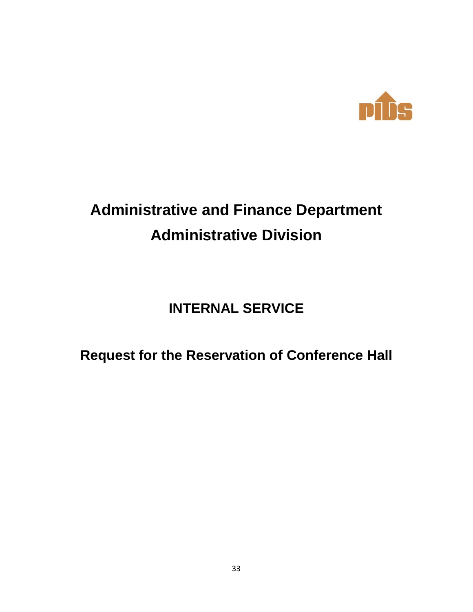

# **Administrative and Finance Department Administrative Division**

## **INTERNAL SERVICE**

## **Request for the Reservation of Conference Hall**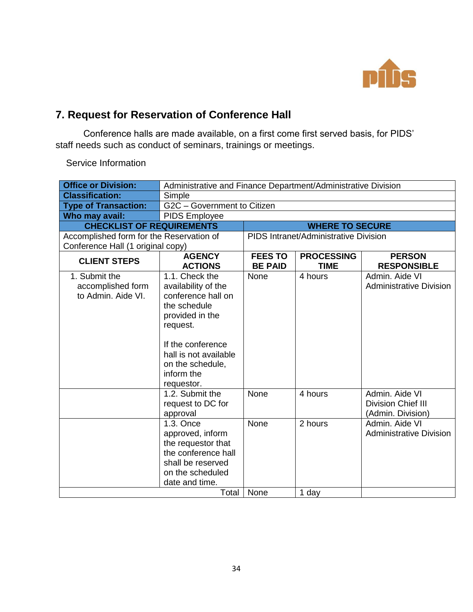

### **7. Request for Reservation of Conference Hall**

Conference halls are made available, on a first come first served basis, for PIDS' staff needs such as conduct of seminars, trainings or meetings.

| <b>Office or Division:</b>                               | Administrative and Finance Department/Administrative Division                                                                                                                                            |                                  |                                       |                                                                  |
|----------------------------------------------------------|----------------------------------------------------------------------------------------------------------------------------------------------------------------------------------------------------------|----------------------------------|---------------------------------------|------------------------------------------------------------------|
| <b>Classification:</b>                                   | Simple                                                                                                                                                                                                   |                                  |                                       |                                                                  |
| <b>Type of Transaction:</b>                              | G2C - Government to Citizen                                                                                                                                                                              |                                  |                                       |                                                                  |
| Who may avail:                                           | <b>PIDS Employee</b>                                                                                                                                                                                     |                                  |                                       |                                                                  |
| <b>CHECKLIST OF REQUIREMENTS</b>                         |                                                                                                                                                                                                          |                                  | <b>WHERE TO SECURE</b>                |                                                                  |
| Accomplished form for the Reservation of                 |                                                                                                                                                                                                          |                                  | PIDS Intranet/Administrative Division |                                                                  |
| Conference Hall (1 original copy)                        |                                                                                                                                                                                                          |                                  |                                       |                                                                  |
| <b>CLIENT STEPS</b>                                      | <b>AGENCY</b><br><b>ACTIONS</b>                                                                                                                                                                          | <b>FEES TO</b><br><b>BE PAID</b> | <b>PROCESSING</b><br><b>TIME</b>      | <b>PERSON</b><br><b>RESPONSIBLE</b>                              |
| 1. Submit the<br>accomplished form<br>to Admin. Aide VI. | 1.1. Check the<br>availability of the<br>conference hall on<br>the schedule<br>provided in the<br>request.<br>If the conference<br>hall is not available<br>on the schedule,<br>inform the<br>requestor. | None                             | 4 hours                               | Admin, Aide VI<br><b>Administrative Division</b>                 |
|                                                          | 1.2. Submit the<br>request to DC for<br>approval                                                                                                                                                         | None                             | 4 hours                               | Admin, Aide VI<br><b>Division Chief III</b><br>(Admin. Division) |
|                                                          | 1.3. Once<br>approved, inform<br>the requestor that<br>the conference hall<br>shall be reserved<br>on the scheduled<br>date and time.<br>Total                                                           | None<br>None                     | 2 hours<br>1 day                      | Admin. Aide VI<br><b>Administrative Division</b>                 |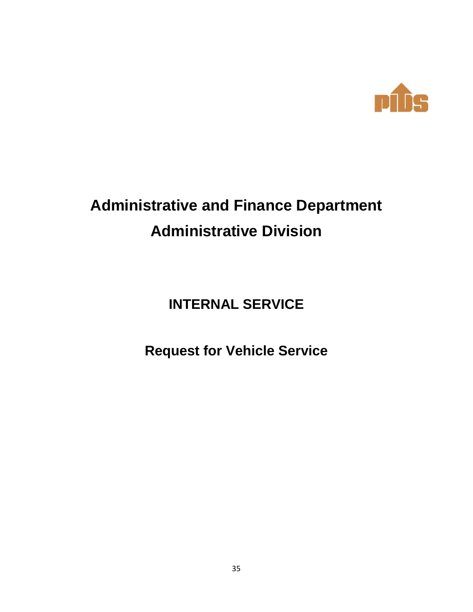

# **Administrative and Finance Department Administrative Division**

**INTERNAL SERVICE**

**Request for Vehicle Service**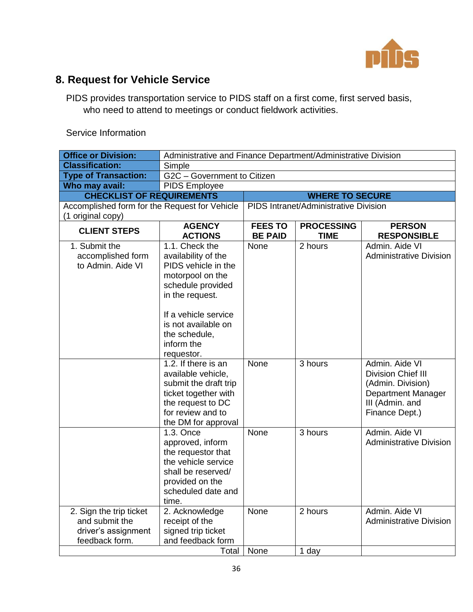

## **8. Request for Vehicle Service**

PIDS provides transportation service to PIDS staff on a first come, first served basis, who need to attend to meetings or conduct fieldwork activities.

| <b>Office or Division:</b>                                                         |                                                                                                                                                                                                                      | Administrative and Finance Department/Administrative Division |                                       |                                                                                                                             |  |
|------------------------------------------------------------------------------------|----------------------------------------------------------------------------------------------------------------------------------------------------------------------------------------------------------------------|---------------------------------------------------------------|---------------------------------------|-----------------------------------------------------------------------------------------------------------------------------|--|
| <b>Classification:</b>                                                             | Simple                                                                                                                                                                                                               |                                                               |                                       |                                                                                                                             |  |
| <b>Type of Transaction:</b>                                                        | G2C - Government to Citizen                                                                                                                                                                                          |                                                               |                                       |                                                                                                                             |  |
| Who may avail:                                                                     | <b>PIDS Employee</b>                                                                                                                                                                                                 |                                                               |                                       |                                                                                                                             |  |
| <b>CHECKLIST OF REQUIREMENTS</b>                                                   |                                                                                                                                                                                                                      |                                                               | <b>WHERE TO SECURE</b>                |                                                                                                                             |  |
| Accomplished form for the Request for Vehicle                                      |                                                                                                                                                                                                                      |                                                               | PIDS Intranet/Administrative Division |                                                                                                                             |  |
| (1 original copy)                                                                  |                                                                                                                                                                                                                      |                                                               |                                       |                                                                                                                             |  |
| <b>CLIENT STEPS</b>                                                                | <b>AGENCY</b><br><b>ACTIONS</b>                                                                                                                                                                                      | <b>FEES TO</b><br><b>BE PAID</b>                              | <b>PROCESSING</b><br><b>TIME</b>      | <b>PERSON</b><br><b>RESPONSIBLE</b>                                                                                         |  |
| 1. Submit the<br>accomplished form<br>to Admin. Aide VI                            | 1.1. Check the<br>availability of the<br>PIDS vehicle in the<br>motorpool on the<br>schedule provided<br>in the request.<br>If a vehicle service<br>is not available on<br>the schedule,<br>inform the<br>requestor. | None                                                          | 2 hours                               | Admin. Aide VI<br><b>Administrative Division</b>                                                                            |  |
|                                                                                    | 1.2. If there is an<br>available vehicle,<br>submit the draft trip<br>ticket together with<br>the request to DC<br>for review and to<br>the DM for approval                                                          | <b>None</b>                                                   | 3 hours                               | Admin. Aide VI<br><b>Division Chief III</b><br>(Admin. Division)<br>Department Manager<br>III (Admin. and<br>Finance Dept.) |  |
|                                                                                    | 1.3. Once<br>approved, inform<br>the requestor that<br>the vehicle service<br>shall be reserved/<br>provided on the<br>scheduled date and<br>time.                                                                   | None                                                          | 3 hours                               | Admin, Aide VI<br><b>Administrative Division</b>                                                                            |  |
| 2. Sign the trip ticket<br>and submit the<br>driver's assignment<br>feedback form. | 2. Acknowledge<br>receipt of the<br>signed trip ticket<br>and feedback form                                                                                                                                          | None                                                          | 2 hours                               | Admin. Aide VI<br><b>Administrative Division</b>                                                                            |  |
|                                                                                    | <b>Total</b>                                                                                                                                                                                                         | None                                                          | 1 day                                 |                                                                                                                             |  |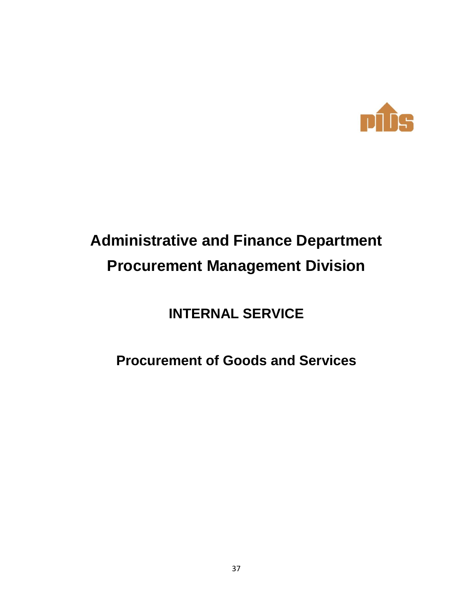

# **Administrative and Finance Department Procurement Management Division**

## **INTERNAL SERVICE**

## **Procurement of Goods and Services**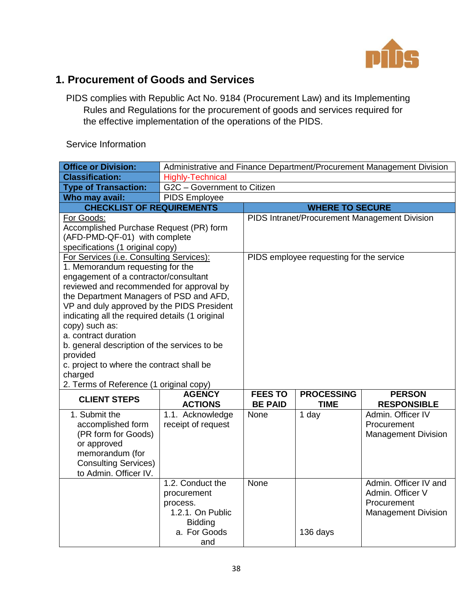

#### **1. Procurement of Goods and Services**

PIDS complies with Republic Act No. 9184 (Procurement Law) and its Implementing Rules and Regulations for the procurement of goods and services required for the effective implementation of the operations of the PIDS.

| <b>Office or Division:</b>                                                                                                                                                                                                                                                                                                                                                                                                                                                                                             | Administrative and Finance Department/Procurement Management Division                                    |                                               |                                  |                                                                                        |
|------------------------------------------------------------------------------------------------------------------------------------------------------------------------------------------------------------------------------------------------------------------------------------------------------------------------------------------------------------------------------------------------------------------------------------------------------------------------------------------------------------------------|----------------------------------------------------------------------------------------------------------|-----------------------------------------------|----------------------------------|----------------------------------------------------------------------------------------|
| <b>Classification:</b>                                                                                                                                                                                                                                                                                                                                                                                                                                                                                                 | <b>Highly-Technical</b>                                                                                  |                                               |                                  |                                                                                        |
| <b>Type of Transaction:</b>                                                                                                                                                                                                                                                                                                                                                                                                                                                                                            | G2C - Government to Citizen                                                                              |                                               |                                  |                                                                                        |
| Who may avail:                                                                                                                                                                                                                                                                                                                                                                                                                                                                                                         | PIDS Employee                                                                                            |                                               |                                  |                                                                                        |
| <b>CHECKLIST OF REQUIREMENTS</b>                                                                                                                                                                                                                                                                                                                                                                                                                                                                                       |                                                                                                          |                                               | <b>WHERE TO SECURE</b>           |                                                                                        |
| For Goods:<br>Accomplished Purchase Request (PR) form<br>(AFD-PMD-QF-01) with complete<br>specifications (1 original copy)                                                                                                                                                                                                                                                                                                                                                                                             |                                                                                                          | PIDS Intranet/Procurement Management Division |                                  |                                                                                        |
| For Services (i.e. Consulting Services):<br>1. Memorandum requesting for the<br>engagement of a contractor/consultant<br>reviewed and recommended for approval by<br>the Department Managers of PSD and AFD,<br>VP and duly approved by the PIDS President<br>indicating all the required details (1 original<br>copy) such as:<br>a. contract duration<br>b. general description of the services to be<br>provided<br>c. project to where the contract shall be<br>charged<br>2. Terms of Reference (1 original copy) |                                                                                                          | PIDS employee requesting for the service      |                                  |                                                                                        |
| <b>CLIENT STEPS</b>                                                                                                                                                                                                                                                                                                                                                                                                                                                                                                    | <b>AGENCY</b><br><b>ACTIONS</b>                                                                          | <b>FEES TO</b><br><b>BE PAID</b>              | <b>PROCESSING</b><br><b>TIME</b> | <b>PERSON</b><br><b>RESPONSIBLE</b>                                                    |
| 1. Submit the<br>accomplished form<br>(PR form for Goods)<br>or approved<br>memorandum (for<br><b>Consulting Services)</b><br>to Admin. Officer IV.                                                                                                                                                                                                                                                                                                                                                                    | 1.1. Acknowledge<br>receipt of request                                                                   | None                                          | 1 day                            | Admin. Officer IV<br>Procurement<br><b>Management Division</b>                         |
|                                                                                                                                                                                                                                                                                                                                                                                                                                                                                                                        | 1.2. Conduct the<br>procurement<br>process.<br>1.2.1. On Public<br><b>Bidding</b><br>a. For Goods<br>and | None                                          | 136 days                         | Admin. Officer IV and<br>Admin, Officer V<br>Procurement<br><b>Management Division</b> |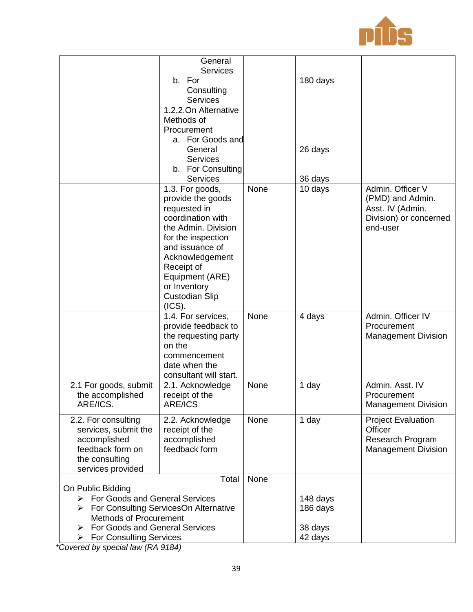

|                                                                                                                                                                                                          | General<br><b>Services</b><br>b. For<br>Consulting<br><b>Services</b><br>1.2.2. On Alternative                                                                                                                                                   |      | 180 days                                   |                                                                                                |
|----------------------------------------------------------------------------------------------------------------------------------------------------------------------------------------------------------|--------------------------------------------------------------------------------------------------------------------------------------------------------------------------------------------------------------------------------------------------|------|--------------------------------------------|------------------------------------------------------------------------------------------------|
|                                                                                                                                                                                                          | Methods of<br>Procurement<br>a. For Goods and<br>General<br><b>Services</b><br>b. For Consulting<br><b>Services</b>                                                                                                                              |      | 26 days<br>36 days                         |                                                                                                |
|                                                                                                                                                                                                          | 1.3. For goods,<br>provide the goods<br>requested in<br>coordination with<br>the Admin. Division<br>for the inspection<br>and issuance of<br>Acknowledgement<br>Receipt of<br>Equipment (ARE)<br>or Inventory<br><b>Custodian Slip</b><br>(ICS). | None | 10 days                                    | Admin. Officer V<br>(PMD) and Admin.<br>Asst. IV (Admin.<br>Division) or concerned<br>end-user |
|                                                                                                                                                                                                          | 1.4. For services,<br>provide feedback to<br>the requesting party<br>on the<br>commencement<br>date when the<br>consultant will start.                                                                                                           | None | 4 days                                     | Admin. Officer IV<br>Procurement<br><b>Management Division</b>                                 |
| 2.1 For goods, submit<br>the accomplished<br>ARE/ICS.                                                                                                                                                    | 2.1. Acknowledge<br>receipt of the<br><b>ARE/ICS</b>                                                                                                                                                                                             | None | 1 day                                      | Admin. Asst. IV<br>Procurement<br><b>Management Division</b>                                   |
| 2.2. For consulting<br>services, submit the<br>accomplished<br>feedback form on<br>the consulting<br>services provided                                                                                   | 2.2. Acknowledge<br>receipt of the<br>accomplished<br>feedback form                                                                                                                                                                              | None | 1 day                                      | <b>Project Evaluation</b><br>Officer<br>Research Program<br><b>Management Division</b>         |
| On Public Bidding<br>> For Goods and General Services<br>> For Consulting ServicesOn Alternative<br>Methods of Procurement<br>For Goods and General Services<br>➤<br><b>For Consulting Services</b><br>➤ | Total                                                                                                                                                                                                                                            | None | 148 days<br>186 days<br>38 days<br>42 days |                                                                                                |

*\*Covered by special law (RA 9184)*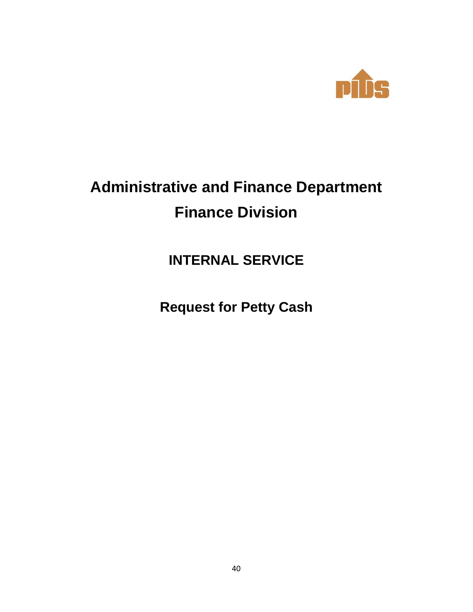

# **Administrative and Finance Department Finance Division**

## **INTERNAL SERVICE**

**Request for Petty Cash**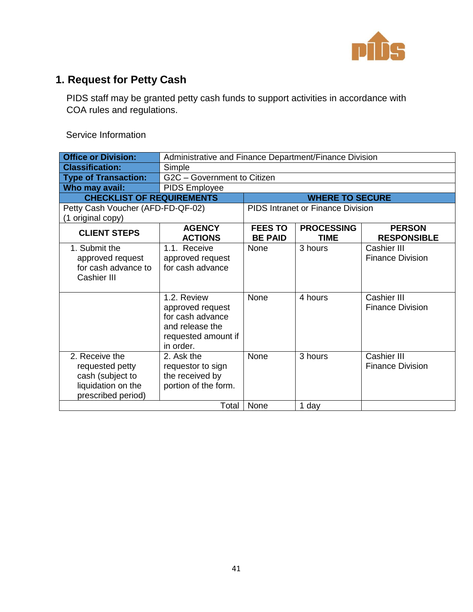

## **1. Request for Petty Cash**

PIDS staff may be granted petty cash funds to support activities in accordance with COA rules and regulations.

| <b>Office or Division:</b>                                                                        |                                                                                                            | Administrative and Finance Department/Finance Division                                                      |                                          |                                        |  |
|---------------------------------------------------------------------------------------------------|------------------------------------------------------------------------------------------------------------|-------------------------------------------------------------------------------------------------------------|------------------------------------------|----------------------------------------|--|
| <b>Classification:</b>                                                                            | Simple                                                                                                     |                                                                                                             |                                          |                                        |  |
| <b>Type of Transaction:</b>                                                                       | G2C - Government to Citizen                                                                                |                                                                                                             |                                          |                                        |  |
| Who may avail:                                                                                    | <b>PIDS Employee</b>                                                                                       |                                                                                                             |                                          |                                        |  |
| <b>CHECKLIST OF REQUIREMENTS</b>                                                                  |                                                                                                            |                                                                                                             | <b>WHERE TO SECURE</b>                   |                                        |  |
| Petty Cash Voucher (AFD-FD-QF-02)<br>(1 original copy)                                            |                                                                                                            |                                                                                                             | <b>PIDS Intranet or Finance Division</b> |                                        |  |
| <b>CLIENT STEPS</b>                                                                               | <b>AGENCY</b><br><b>ACTIONS</b>                                                                            | <b>FEES TO</b><br><b>PROCESSING</b><br><b>PERSON</b><br><b>BE PAID</b><br><b>TIME</b><br><b>RESPONSIBLE</b> |                                          |                                        |  |
| 1. Submit the<br>approved request<br>for cash advance to<br>Cashier III                           | 1.1. Receive<br>approved request<br>for cash advance                                                       | None                                                                                                        | 3 hours                                  | Cashier III<br><b>Finance Division</b> |  |
|                                                                                                   | 1.2. Review<br>approved request<br>for cash advance<br>and release the<br>requested amount if<br>in order. | None                                                                                                        | 4 hours                                  | Cashier III<br><b>Finance Division</b> |  |
| 2. Receive the<br>requested petty<br>cash (subject to<br>liquidation on the<br>prescribed period) | 2. Ask the<br>requestor to sign<br>the received by<br>portion of the form.                                 | None                                                                                                        | 3 hours                                  | Cashier III<br><b>Finance Division</b> |  |
|                                                                                                   | Total                                                                                                      | None                                                                                                        | 1 day                                    |                                        |  |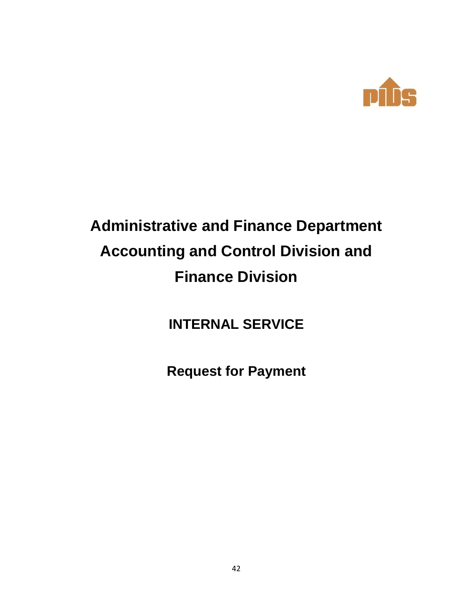

# **Administrative and Finance Department Accounting and Control Division and Finance Division**

**INTERNAL SERVICE**

**Request for Payment**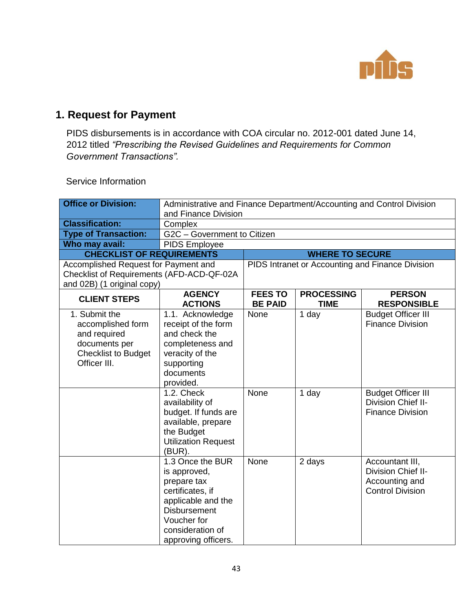

### **1. Request for Payment**

PIDS disbursements is in accordance with COA circular no. 2012-001 dated June 14, 2012 titled *"Prescribing the Revised Guidelines and Requirements for Common Government Transactions".*

| <b>Office or Division:</b>                | Administrative and Finance Department/Accounting and Control Division |                                  |                                  |                                                  |
|-------------------------------------------|-----------------------------------------------------------------------|----------------------------------|----------------------------------|--------------------------------------------------|
|                                           | and Finance Division                                                  |                                  |                                  |                                                  |
| <b>Classification:</b>                    | Complex                                                               |                                  |                                  |                                                  |
| <b>Type of Transaction:</b>               | G2C - Government to Citizen                                           |                                  |                                  |                                                  |
| Who may avail:                            | PIDS Employee                                                         |                                  |                                  |                                                  |
| <b>CHECKLIST OF REQUIREMENTS</b>          | <b>WHERE TO SECURE</b>                                                |                                  |                                  |                                                  |
| Accomplished Request for Payment and      |                                                                       |                                  |                                  | PIDS Intranet or Accounting and Finance Division |
| Checklist of Requirements (AFD-ACD-QF-02A |                                                                       |                                  |                                  |                                                  |
| and 02B) (1 original copy)                |                                                                       |                                  |                                  |                                                  |
| <b>CLIENT STEPS</b>                       | <b>AGENCY</b><br><b>ACTIONS</b>                                       | <b>FEES TO</b><br><b>BE PAID</b> | <b>PROCESSING</b><br><b>TIME</b> | <b>PERSON</b><br><b>RESPONSIBLE</b>              |
| 1. Submit the                             | 1.1. Acknowledge                                                      | None                             | 1 day                            | <b>Budget Officer III</b>                        |
| accomplished form                         | receipt of the form                                                   |                                  |                                  | <b>Finance Division</b>                          |
| and required                              | and check the                                                         |                                  |                                  |                                                  |
| documents per                             | completeness and                                                      |                                  |                                  |                                                  |
| <b>Checklist to Budget</b>                | veracity of the                                                       |                                  |                                  |                                                  |
| Officer III.                              | supporting                                                            |                                  |                                  |                                                  |
|                                           | documents                                                             |                                  |                                  |                                                  |
|                                           | provided.                                                             |                                  |                                  |                                                  |
|                                           | 1.2. Check                                                            | None                             | 1 day                            | <b>Budget Officer III</b>                        |
|                                           | availability of                                                       |                                  |                                  | Division Chief II-                               |
|                                           | budget. If funds are                                                  |                                  |                                  | <b>Finance Division</b>                          |
|                                           | available, prepare                                                    |                                  |                                  |                                                  |
|                                           | the Budget                                                            |                                  |                                  |                                                  |
|                                           | <b>Utilization Request</b><br>(BUR).                                  |                                  |                                  |                                                  |
|                                           | 1.3 Once the BUR                                                      | None                             | 2 days                           | Accountant III,                                  |
|                                           | is approved,                                                          |                                  |                                  | Division Chief II-                               |
|                                           | prepare tax                                                           |                                  |                                  | Accounting and                                   |
|                                           | certificates, if                                                      |                                  |                                  | <b>Control Division</b>                          |
|                                           | applicable and the                                                    |                                  |                                  |                                                  |
|                                           | <b>Disbursement</b>                                                   |                                  |                                  |                                                  |
|                                           | Voucher for                                                           |                                  |                                  |                                                  |
|                                           | consideration of                                                      |                                  |                                  |                                                  |
|                                           | approving officers.                                                   |                                  |                                  |                                                  |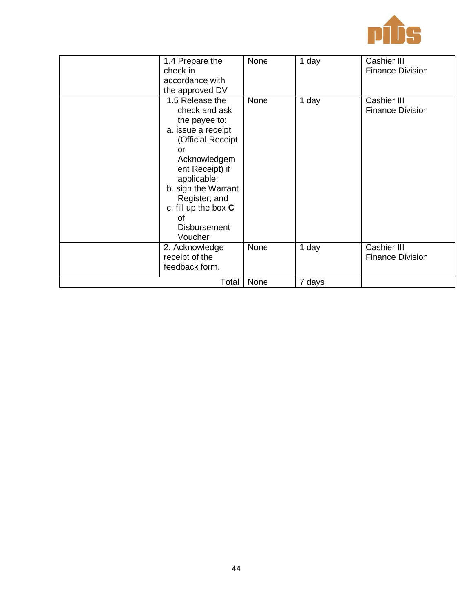

| 1.4 Prepare the<br>check in<br>accordance with                                                                                                                                                                                                                 | None | 1 day  | Cashier III<br><b>Finance Division</b> |
|----------------------------------------------------------------------------------------------------------------------------------------------------------------------------------------------------------------------------------------------------------------|------|--------|----------------------------------------|
| the approved DV                                                                                                                                                                                                                                                |      |        |                                        |
| 1.5 Release the<br>check and ask<br>the payee to:<br>a. issue a receipt<br>(Official Receipt<br>or<br>Acknowledgem<br>ent Receipt) if<br>applicable;<br>b. sign the Warrant<br>Register; and<br>c. fill up the box $C$<br>Ωf<br><b>Disbursement</b><br>Voucher | None | 1 day  | Cashier III<br><b>Finance Division</b> |
| 2. Acknowledge<br>receipt of the<br>feedback form.                                                                                                                                                                                                             | None | 1 day  | Cashier III<br><b>Finance Division</b> |
| Total                                                                                                                                                                                                                                                          | None | 7 days |                                        |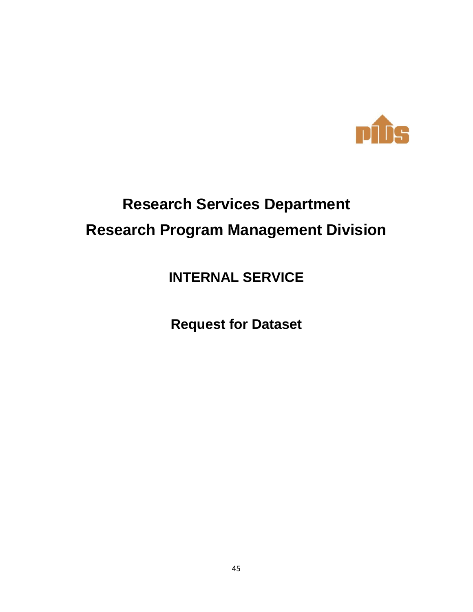

# **Research Services Department Research Program Management Division**

**INTERNAL SERVICE**

**Request for Dataset**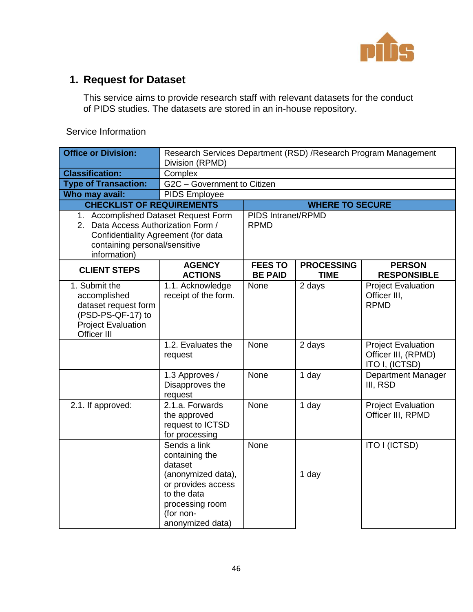

### **1. Request for Dataset**

This service aims to provide research staff with relevant datasets for the conduct of PIDS studies. The datasets are stored in an in-house repository.

| <b>Office or Division:</b>                                                                                             | Research Services Department (RSD) / Research Program Management<br>Division (RPMD)                                                                      |                                  |                                   |                                                                    |  |
|------------------------------------------------------------------------------------------------------------------------|----------------------------------------------------------------------------------------------------------------------------------------------------------|----------------------------------|-----------------------------------|--------------------------------------------------------------------|--|
| <b>Classification:</b>                                                                                                 | Complex                                                                                                                                                  |                                  |                                   |                                                                    |  |
| <b>Type of Transaction:</b>                                                                                            | G2C - Government to Citizen                                                                                                                              |                                  |                                   |                                                                    |  |
| Who may avail:                                                                                                         | <b>PIDS Employee</b>                                                                                                                                     |                                  |                                   |                                                                    |  |
| <b>CHECKLIST OF REQUIREMENTS</b>                                                                                       |                                                                                                                                                          |                                  | <b>WHERE TO SECURE</b>            |                                                                    |  |
| information)                                                                                                           | 1. Accomplished Dataset Request Form<br>2. Data Access Authorization Form /<br>Confidentiality Agreement (for data<br>containing personal/sensitive      |                                  | PIDS Intranet/RPMD<br><b>RPMD</b> |                                                                    |  |
| <b>CLIENT STEPS</b>                                                                                                    | <b>AGENCY</b><br><b>ACTIONS</b>                                                                                                                          | <b>FEES TO</b><br><b>BE PAID</b> | <b>PROCESSING</b><br><b>TIME</b>  | <b>PERSON</b><br><b>RESPONSIBLE</b>                                |  |
| 1. Submit the<br>accomplished<br>dataset request form<br>(PSD-PS-QF-17) to<br><b>Project Evaluation</b><br>Officer III | 1.1. Acknowledge<br>receipt of the form.                                                                                                                 | None                             | 2 days                            | <b>Project Evaluation</b><br>Officer III,<br><b>RPMD</b>           |  |
|                                                                                                                        | 1.2. Evaluates the<br>request                                                                                                                            | None                             | 2 days                            | <b>Project Evaluation</b><br>Officer III, (RPMD)<br>ITO I, (ICTSD) |  |
|                                                                                                                        | 1.3 Approves /<br>Disapproves the<br>request                                                                                                             | None                             | 1 day                             | <b>Department Manager</b><br>III, RSD                              |  |
| 2.1. If approved:                                                                                                      | 2.1.a. Forwards<br>the approved<br>request to ICTSD<br>for processing                                                                                    | None                             | 1 day                             | <b>Project Evaluation</b><br>Officer III, RPMD                     |  |
|                                                                                                                        | Sends a link<br>containing the<br>dataset<br>(anonymized data),<br>or provides access<br>to the data<br>processing room<br>(for non-<br>anonymized data) | None                             | 1 day                             | ITO I (ICTSD)                                                      |  |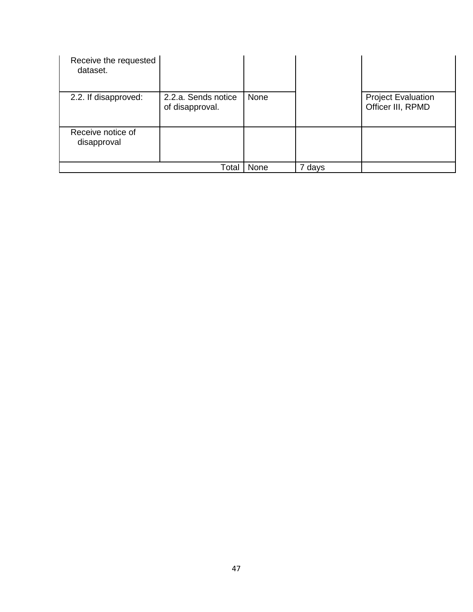| Receive the requested<br>dataset. |                                        |      |        |                                                |
|-----------------------------------|----------------------------------------|------|--------|------------------------------------------------|
| 2.2. If disapproved:              | 2.2.a. Sends notice<br>of disapproval. | None |        | <b>Project Evaluation</b><br>Officer III, RPMD |
| Receive notice of<br>disapproval  |                                        |      |        |                                                |
|                                   | Total                                  | None | 7 days |                                                |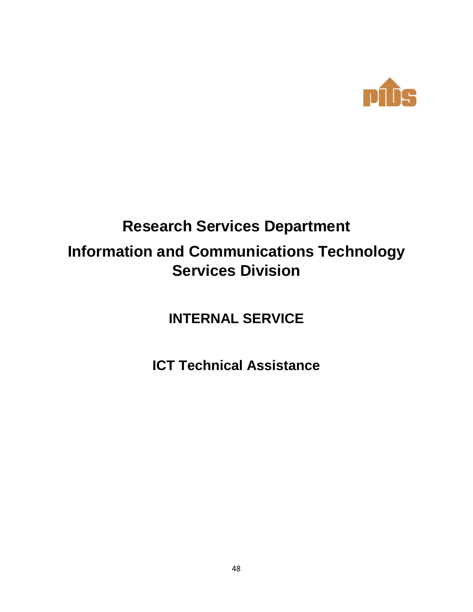

# **Research Services Department Information and Communications Technology Services Division**

**INTERNAL SERVICE**

**ICT Technical Assistance**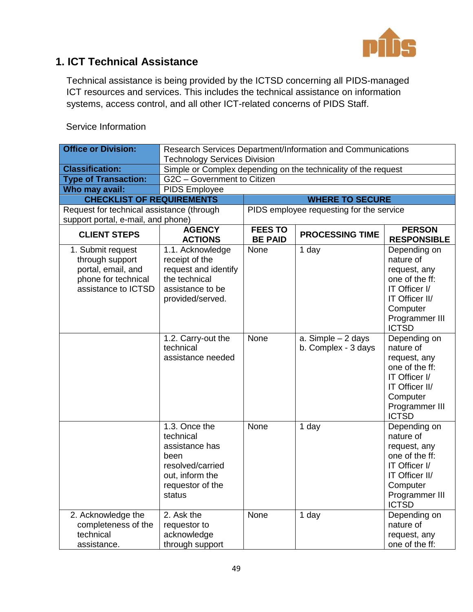

### **1. ICT Technical Assistance**

Technical assistance is being provided by the ICTSD concerning all PIDS-managed ICT resources and services. This includes the technical assistance on information systems, access control, and all other ICT-related concerns of PIDS Staff.

| <b>Service Information</b>  |                                |
|-----------------------------|--------------------------------|
| <b>Office or Division:</b>  | <b>Research Services Depa</b>  |
|                             | <b>Technology Services Div</b> |
| <b>Classification:</b>      | Simple or Complex depe         |
| <b>Type of Transaction:</b> | G2C - Government to C          |
| Who may avail.              | PIDS Employee                  |

| <b>Office or Division:</b>                                                                               | Research Services Department/Information and Communications                                                                                            |                                          |                                                     |                                                                                                                                                                           |
|----------------------------------------------------------------------------------------------------------|--------------------------------------------------------------------------------------------------------------------------------------------------------|------------------------------------------|-----------------------------------------------------|---------------------------------------------------------------------------------------------------------------------------------------------------------------------------|
|                                                                                                          | <b>Technology Services Division</b>                                                                                                                    |                                          |                                                     |                                                                                                                                                                           |
| <b>Classification:</b>                                                                                   | Simple or Complex depending on the technicality of the request                                                                                         |                                          |                                                     |                                                                                                                                                                           |
| <b>Type of Transaction:</b>                                                                              | G2C - Government to Citizen                                                                                                                            |                                          |                                                     |                                                                                                                                                                           |
| Who may avail:                                                                                           | PIDS Employee                                                                                                                                          |                                          |                                                     |                                                                                                                                                                           |
| <b>CHECKLIST OF REQUIREMENTS</b>                                                                         |                                                                                                                                                        |                                          | <b>WHERE TO SECURE</b>                              |                                                                                                                                                                           |
| Request for technical assistance (through                                                                |                                                                                                                                                        | PIDS employee requesting for the service |                                                     |                                                                                                                                                                           |
| support portal, e-mail, and phone)                                                                       |                                                                                                                                                        |                                          |                                                     |                                                                                                                                                                           |
| <b>CLIENT STEPS</b>                                                                                      | <b>AGENCY</b><br><b>ACTIONS</b>                                                                                                                        | <b>FEES TO</b><br><b>BE PAID</b>         | <b>PROCESSING TIME</b>                              | <b>PERSON</b><br><b>RESPONSIBLE</b>                                                                                                                                       |
| 1. Submit request<br>through support<br>portal, email, and<br>phone for technical<br>assistance to ICTSD | 1.1. Acknowledge<br>receipt of the<br>request and identify<br>the technical<br>assistance to be<br>provided/served.<br>1.2. Carry-out the<br>technical | None<br>None                             | 1 day<br>a. Simple $-2$ days<br>b. Complex - 3 days | Depending on<br>nature of<br>request, any<br>one of the ff:<br>IT Officer I/<br>IT Officer II/<br>Computer<br>Programmer III<br><b>ICTSD</b><br>Depending on<br>nature of |
|                                                                                                          | assistance needed                                                                                                                                      |                                          |                                                     | request, any<br>one of the ff:<br>IT Officer I/<br>IT Officer II/<br>Computer<br>Programmer III<br><b>ICTSD</b>                                                           |
|                                                                                                          | 1.3. Once the<br>technical<br>assistance has<br>been<br>resolved/carried<br>out, inform the<br>requestor of the<br>status                              | None                                     | 1 day                                               | Depending on<br>nature of<br>request, any<br>one of the ff:<br>IT Officer I/<br>IT Officer II/<br>Computer<br>Programmer III<br><b>ICTSD</b>                              |
| 2. Acknowledge the<br>completeness of the<br>technical<br>assistance.                                    | 2. Ask the<br>requestor to<br>acknowledge<br>through support                                                                                           | None                                     | 1 day                                               | Depending on<br>nature of<br>request, any<br>one of the ff:                                                                                                               |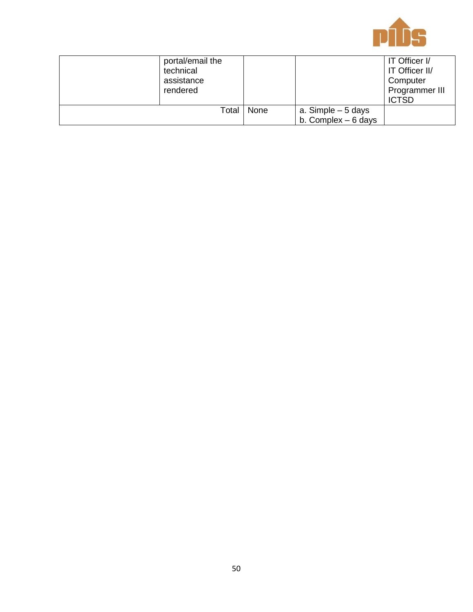

| portal/email the<br>technical<br>assistance<br>rendered |      |                      | IT Officer I/<br>IT Officer II/<br>Computer<br>Programmer III<br><b>ICTSD</b> |
|---------------------------------------------------------|------|----------------------|-------------------------------------------------------------------------------|
| Total                                                   | None | a. Simple $-5$ days  |                                                                               |
|                                                         |      | b. Complex $-6$ days |                                                                               |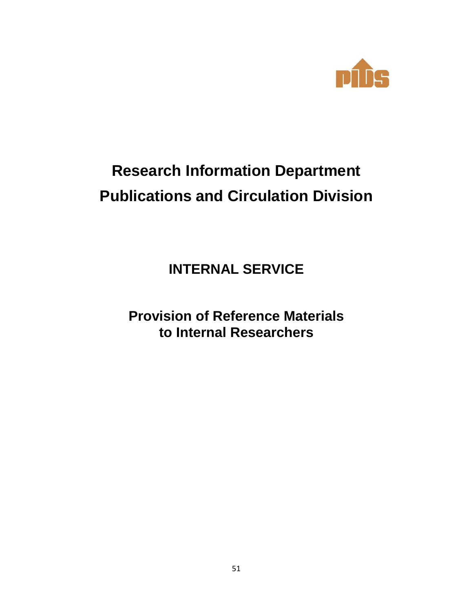

# **Research Information Department Publications and Circulation Division**

**INTERNAL SERVICE**

**Provision of Reference Materials to Internal Researchers**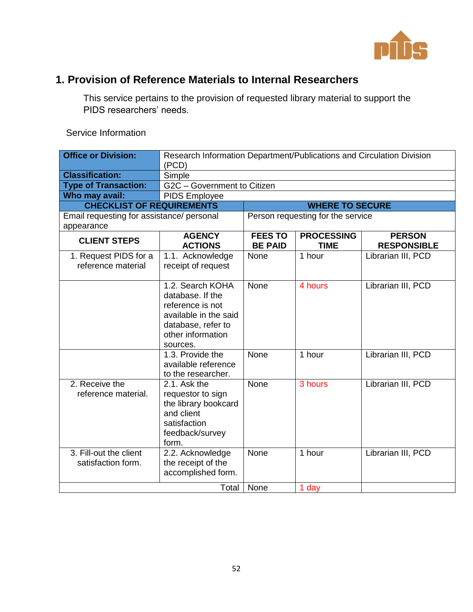

### **1. Provision of Reference Materials to Internal Researchers**

This service pertains to the provision of requested library material to support the PIDS researchers' needs.

| <b>Office or Division:</b>                              | Research Information Department/Publications and Circulation Division<br>(PCD)                                                           |                                  |                                   |                                     |
|---------------------------------------------------------|------------------------------------------------------------------------------------------------------------------------------------------|----------------------------------|-----------------------------------|-------------------------------------|
| <b>Classification:</b>                                  | Simple                                                                                                                                   |                                  |                                   |                                     |
| <b>Type of Transaction:</b>                             | G2C - Government to Citizen                                                                                                              |                                  |                                   |                                     |
| Who may avail:                                          | <b>PIDS Employee</b>                                                                                                                     |                                  |                                   |                                     |
| <b>CHECKLIST OF REQUIREMENTS</b>                        |                                                                                                                                          |                                  | <b>WHERE TO SECURE</b>            |                                     |
| Email requesting for assistance/ personal<br>appearance |                                                                                                                                          |                                  | Person requesting for the service |                                     |
| <b>CLIENT STEPS</b>                                     | <b>AGENCY</b><br><b>ACTIONS</b>                                                                                                          | <b>FEES TO</b><br><b>BE PAID</b> | <b>PROCESSING</b><br><b>TIME</b>  | <b>PERSON</b><br><b>RESPONSIBLE</b> |
| 1. Request PIDS for a<br>reference material             | 1.1. Acknowledge<br>receipt of request                                                                                                   | None                             | 1 hour                            | Librarian III, PCD                  |
|                                                         | 1.2. Search KOHA<br>database. If the<br>reference is not<br>available in the said<br>database, refer to<br>other information<br>sources. | None                             | 4 hours                           | Librarian III, PCD                  |
|                                                         | 1.3. Provide the<br>available reference<br>to the researcher.                                                                            | None                             | $\overline{1}$ hour               | Librarian III, PCD                  |
| 2. Receive the<br>reference material.                   | 2.1. Ask the<br>requestor to sign<br>the library bookcard<br>and client<br>satisfaction<br>feedback/survey<br>form.                      | None                             | 3 hours                           | Librarian III, PCD                  |
| 3. Fill-out the client<br>satisfaction form.            | 2.2. Acknowledge<br>the receipt of the<br>accomplished form.                                                                             | None                             | 1 hour                            | Librarian III, PCD                  |
|                                                         | Total                                                                                                                                    | None                             | 1 day                             |                                     |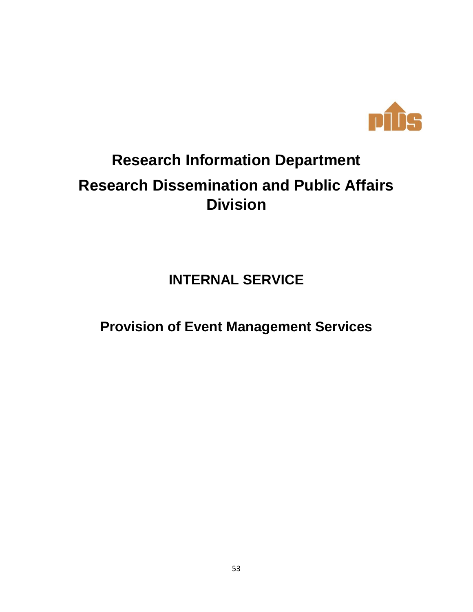

# **Research Information Department Research Dissemination and Public Affairs Division**

**INTERNAL SERVICE**

**Provision of Event Management Services**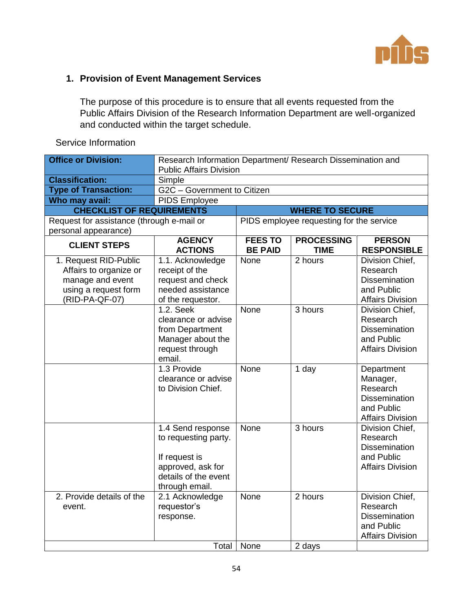

#### **1. Provision of Event Management Services**

The purpose of this procedure is to ensure that all events requested from the Public Affairs Division of the Research Information Department are well-organized and conducted within the target schedule.

| <b>Office or Division:</b>                                                                                    | Research Information Department/ Research Dissemination and<br><b>Public Affairs Division</b>                             |                                  |                                          |                                                                                                     |
|---------------------------------------------------------------------------------------------------------------|---------------------------------------------------------------------------------------------------------------------------|----------------------------------|------------------------------------------|-----------------------------------------------------------------------------------------------------|
| <b>Classification:</b>                                                                                        | Simple                                                                                                                    |                                  |                                          |                                                                                                     |
| <b>Type of Transaction:</b>                                                                                   | G2C - Government to Citizen                                                                                               |                                  |                                          |                                                                                                     |
| Who may avail:                                                                                                | PIDS Employee                                                                                                             |                                  |                                          |                                                                                                     |
| <b>CHECKLIST OF REQUIREMENTS</b>                                                                              |                                                                                                                           |                                  | <b>WHERE TO SECURE</b>                   |                                                                                                     |
| Request for assistance (through e-mail or<br>personal appearance)                                             |                                                                                                                           |                                  | PIDS employee requesting for the service |                                                                                                     |
| <b>CLIENT STEPS</b>                                                                                           | <b>AGENCY</b><br><b>ACTIONS</b>                                                                                           | <b>FEES TO</b><br><b>BE PAID</b> | <b>PROCESSING</b><br><b>TIME</b>         | <b>PERSON</b><br><b>RESPONSIBLE</b>                                                                 |
| 1. Request RID-Public<br>Affairs to organize or<br>manage and event<br>using a request form<br>(RID-PA-QF-07) | 1.1. Acknowledge<br>receipt of the<br>request and check<br>needed assistance<br>of the requestor.                         | None                             | 2 hours                                  | Division Chief,<br>Research<br><b>Dissemination</b><br>and Public<br><b>Affairs Division</b>        |
|                                                                                                               | 1.2. Seek<br>clearance or advise<br>from Department<br>Manager about the<br>request through<br>email.                     | None                             | 3 hours                                  | Division Chief,<br>Research<br><b>Dissemination</b><br>and Public<br><b>Affairs Division</b>        |
|                                                                                                               | 1.3 Provide<br>clearance or advise<br>to Division Chief.                                                                  | None                             | 1 day                                    | Department<br>Manager,<br>Research<br><b>Dissemination</b><br>and Public<br><b>Affairs Division</b> |
|                                                                                                               | 1.4 Send response<br>to requesting party.<br>If request is<br>approved, ask for<br>details of the event<br>through email. | None                             | $\overline{3}$ hours                     | Division Chief,<br>Research<br><b>Dissemination</b><br>and Public<br><b>Affairs Division</b>        |
| 2. Provide details of the<br>event.                                                                           | 2.1 Acknowledge<br>requestor's<br>response.                                                                               | None                             | 2 hours                                  | Division Chief,<br>Research<br><b>Dissemination</b><br>and Public<br><b>Affairs Division</b>        |
|                                                                                                               | Total                                                                                                                     | None                             | 2 days                                   |                                                                                                     |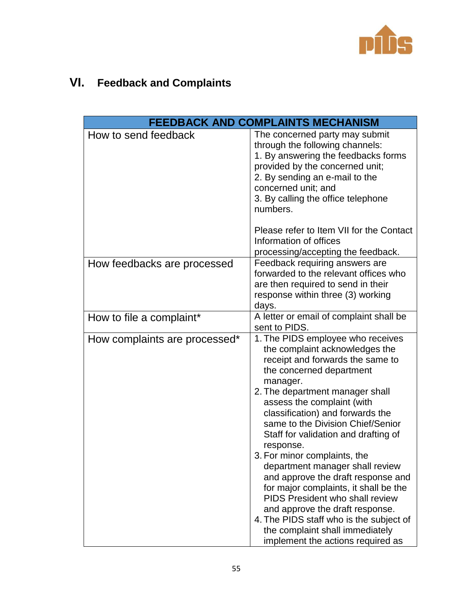

## **VI. Feedback and Complaints**

|                               | <b>FEEDBACK AND COMPLAINTS MECHANISM</b>                                                                                                                                                                                                                                                                                                                                                                                                                                                                                                   |
|-------------------------------|--------------------------------------------------------------------------------------------------------------------------------------------------------------------------------------------------------------------------------------------------------------------------------------------------------------------------------------------------------------------------------------------------------------------------------------------------------------------------------------------------------------------------------------------|
| How to send feedback          | The concerned party may submit<br>through the following channels:<br>1. By answering the feedbacks forms<br>provided by the concerned unit;<br>2. By sending an e-mail to the<br>concerned unit; and<br>3. By calling the office telephone<br>numbers.                                                                                                                                                                                                                                                                                     |
|                               | Please refer to Item VII for the Contact<br>Information of offices<br>processing/accepting the feedback.                                                                                                                                                                                                                                                                                                                                                                                                                                   |
| How feedbacks are processed   | Feedback requiring answers are<br>forwarded to the relevant offices who<br>are then required to send in their<br>response within three (3) working<br>days.                                                                                                                                                                                                                                                                                                                                                                                |
| How to file a complaint*      | A letter or email of complaint shall be<br>sent to PIDS.                                                                                                                                                                                                                                                                                                                                                                                                                                                                                   |
| How complaints are processed* | 1. The PIDS employee who receives<br>the complaint acknowledges the<br>receipt and forwards the same to<br>the concerned department<br>manager.<br>2. The department manager shall<br>assess the complaint (with<br>classification) and forwards the<br>same to the Division Chief/Senior<br>Staff for validation and drafting of<br>response.<br>3. For minor complaints, the<br>department manager shall review<br>and approve the draft response and<br>for major complaints, it shall be the<br><b>PIDS President who shall review</b> |
|                               | and approve the draft response.<br>4. The PIDS staff who is the subject of<br>the complaint shall immediately<br>implement the actions required as                                                                                                                                                                                                                                                                                                                                                                                         |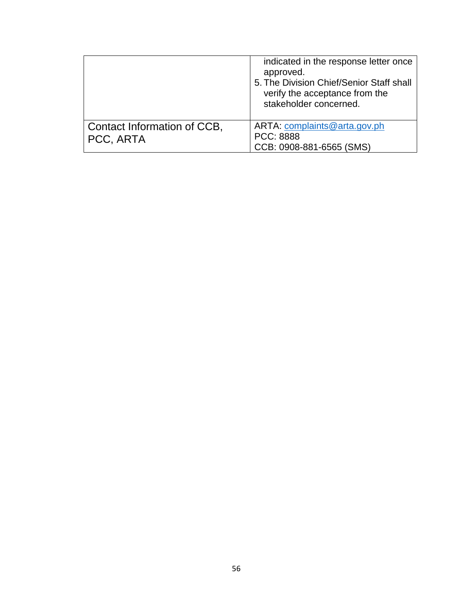|                                          | indicated in the response letter once<br>approved.<br>5. The Division Chief/Senior Staff shall<br>verify the acceptance from the<br>stakeholder concerned. |
|------------------------------------------|------------------------------------------------------------------------------------------------------------------------------------------------------------|
| Contact Information of CCB,<br>PCC, ARTA | ARTA: complaints@arta.gov.ph<br>PCC: 8888<br>CCB: 0908-881-6565 (SMS)                                                                                      |